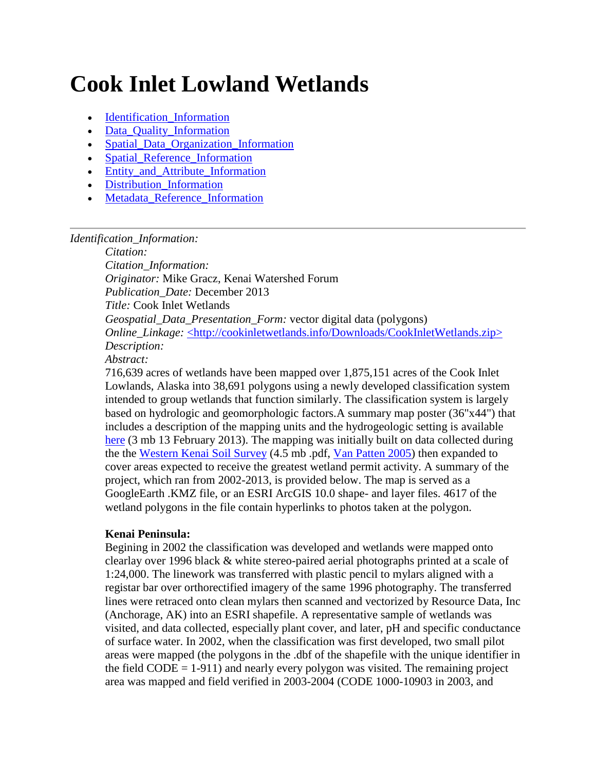# **Cook Inlet Lowland Wetlands**

- [Identification\\_Information](#page-0-0)
- [Data\\_Quality\\_Information](#page-4-0)
- [Spatial\\_Data\\_Organization\\_Information](#page-6-0)
- Spatial Reference Information
- [Entity\\_and\\_Attribute\\_Information](#page-6-2)
- Distribution Information
- Metadata Reference Information

## <span id="page-0-0"></span>*Identification\_Information:*

*Citation:*

*Citation\_Information: Originator:* Mike Gracz, Kenai Watershed Forum *Publication\_Date:* December 2013 *Title:* Cook Inlet Wetlands *Geospatial\_Data\_Presentation\_Form:* vector digital data (polygons) *Online\_Linkage:* [<http://cookinletwetlands.info/Downloads/CookInletWetlands.zip>](http://cookinletwetlands.info/Downloads/wetlands2013.zip) *Description: Abstract:*

716,639 acres of wetlands have been mapped over 1,875,151 acres of the Cook Inlet Lowlands, Alaska into 38,691 polygons using a newly developed classification system intended to group wetlands that function similarly. The classification system is largely based on hydrologic and geomorphologic factors.A summary map poster (36"x44") that includes a description of the mapping units and the hydrogeologic setting is available [here](http://cookinletwetlands.info/Downloads/sheet1landscapesections.pdf) (3 mb 13 February 2013). The mapping was initially built on data collected during the the [Western Kenai Soil Survey](http://cookinletwetlands.info/Downloads/WesternKenai_manu.pdf) (4.5 mb .pdf, [Van Patten 2005\)](http://cookinletwetlands.info/literature.htm#VanPatten2005) then expanded to cover areas expected to receive the greatest wetland permit activity. A summary of the project, which ran from 2002-2013, is provided below. The map is served as a GoogleEarth .KMZ file, or an ESRI ArcGIS 10.0 shape- and layer files. 4617 of the wetland polygons in the file contain hyperlinks to photos taken at the polygon.

## **Kenai Peninsula:**

Begining in 2002 the classification was developed and wetlands were mapped onto clearlay over 1996 black & white stereo-paired aerial photographs printed at a scale of 1:24,000. The linework was transferred with plastic pencil to mylars aligned with a registar bar over orthorectified imagery of the same 1996 photography. The transferred lines were retraced onto clean mylars then scanned and vectorized by Resource Data, Inc (Anchorage, AK) into an ESRI shapefile. A representative sample of wetlands was visited, and data collected, especially plant cover, and later, pH and specific conductance of surface water. In 2002, when the classification was first developed, two small pilot areas were mapped (the polygons in the .dbf of the shapefile with the unique identifier in the field  $CODE = 1-911$ ) and nearly every polygon was visited. The remaining project area was mapped and field verified in 2003-2004 (CODE 1000-10903 in 2003, and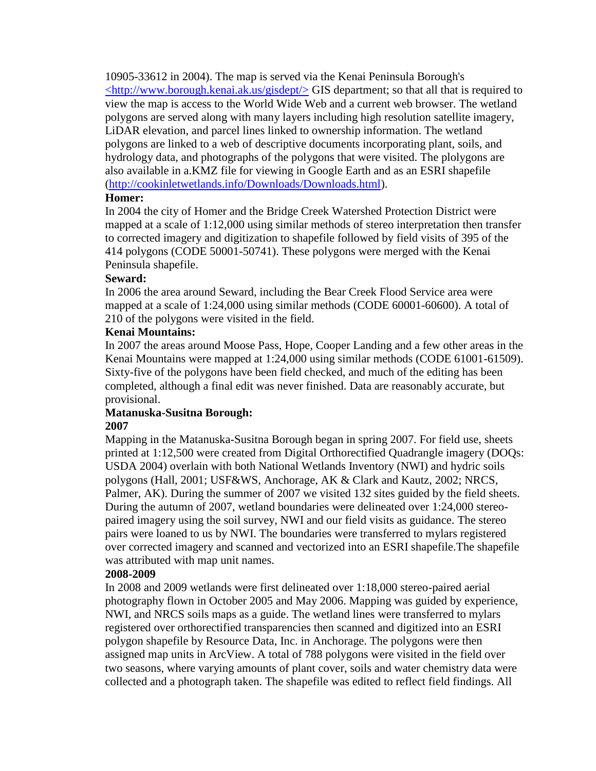10905-33612 in 2004). The map is served via the Kenai Peninsula Borough's  $\langle$ http://www.borough.kenai.ak.us/gisdept/ $>$  GIS department; so that all that is required to view the map is access to the World Wide Web and a current web browser. The wetland polygons are served along with many layers including high resolution satellite imagery, LiDAR elevation, and parcel lines linked to ownership information. The wetland polygons are linked to a web of descriptive documents incorporating plant, soils, and hydrology data, and photographs of the polygons that were visited. The plolygons are also available in a.KMZ file for viewing in Google Earth and as an ESRI shapefile [\(http://cookinletwetlands.info/Downloads/Downloads.html\)](http://cookinletwetlands.info/Downloads/downloads.html).

# **Homer:**

In 2004 the city of Homer and the Bridge Creek Watershed Protection District were mapped at a scale of 1:12,000 using similar methods of stereo interpretation then transfer to corrected imagery and digitization to shapefile followed by field visits of 395 of the 414 polygons (CODE 50001-50741). These polygons were merged with the Kenai Peninsula shapefile.

# **Seward:**

In 2006 the area around Seward, including the Bear Creek Flood Service area were mapped at a scale of 1:24,000 using similar methods (CODE 60001-60600). A total of 210 of the polygons were visited in the field.

# **Kenai Mountains:**

In 2007 the areas around Moose Pass, Hope, Cooper Landing and a few other areas in the Kenai Mountains were mapped at 1:24,000 using similar methods (CODE 61001-61509). Sixty-five of the polygons have been field checked, and much of the editing has been completed, although a final edit was never finished. Data are reasonably accurate, but provisional.

#### **Matanuska-Susitna Borough: 2007**

Mapping in the Matanuska-Susitna Borough began in spring 2007. For field use, sheets printed at 1:12,500 were created from Digital Orthorectified Quadrangle imagery (DOQs: USDA 2004) overlain with both National Wetlands Inventory (NWI) and hydric soils polygons (Hall, 2001; USF&WS, Anchorage, AK & Clark and Kautz, 2002; NRCS, Palmer, AK). During the summer of 2007 we visited 132 sites guided by the field sheets. During the autumn of 2007, wetland boundaries were delineated over 1:24,000 stereopaired imagery using the soil survey, NWI and our field visits as guidance. The stereo pairs were loaned to us by NWI. The boundaries were transferred to mylars registered over corrected imagery and scanned and vectorized into an ESRI shapefile.The shapefile was attributed with map unit names.

# **2008-2009**

In 2008 and 2009 wetlands were first delineated over 1:18,000 stereo-paired aerial photography flown in October 2005 and May 2006. Mapping was guided by experience, NWI, and NRCS soils maps as a guide. The wetland lines were transferred to mylars registered over orthorectified transparencies then scanned and digitized into an ESRI polygon shapefile by Resource Data, Inc. in Anchorage. The polygons were then assigned map units in ArcView. A total of 788 polygons were visited in the field over two seasons, where varying amounts of plant cover, soils and water chemistry data were collected and a photograph taken. The shapefile was edited to reflect field findings. All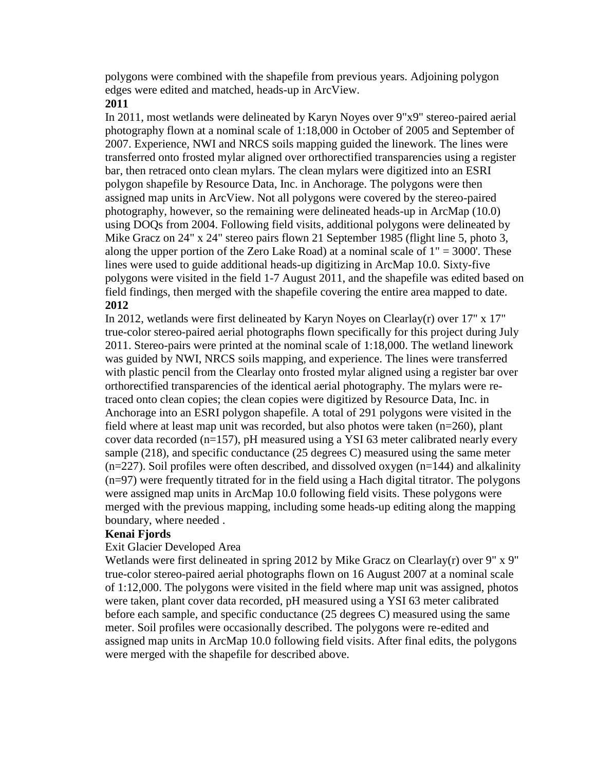polygons were combined with the shapefile from previous years. Adjoining polygon edges were edited and matched, heads-up in ArcView.

## **2011**

In 2011, most wetlands were delineated by Karyn Noyes over 9"x9" stereo-paired aerial photography flown at a nominal scale of 1:18,000 in October of 2005 and September of 2007. Experience, NWI and NRCS soils mapping guided the linework. The lines were transferred onto frosted mylar aligned over orthorectified transparencies using a register bar, then retraced onto clean mylars. The clean mylars were digitized into an ESRI polygon shapefile by Resource Data, Inc. in Anchorage. The polygons were then assigned map units in ArcView. Not all polygons were covered by the stereo-paired photography, however, so the remaining were delineated heads-up in ArcMap (10.0) using DOQs from 2004. Following field visits, additional polygons were delineated by Mike Gracz on 24" x 24" stereo pairs flown 21 September 1985 (flight line 5, photo 3, along the upper portion of the Zero Lake Road) at a nominal scale of  $1" = 3000'$ . These lines were used to guide additional heads-up digitizing in ArcMap 10.0. Sixty-five polygons were visited in the field 1-7 August 2011, and the shapefile was edited based on field findings, then merged with the shapefile covering the entire area mapped to date. **2012**

In 2012, wetlands were first delineated by Karyn Noyes on Clearlay(r) over 17" x 17" true-color stereo-paired aerial photographs flown specifically for this project during July 2011. Stereo-pairs were printed at the nominal scale of 1:18,000. The wetland linework was guided by NWI, NRCS soils mapping, and experience. The lines were transferred with plastic pencil from the Clearlay onto frosted mylar aligned using a register bar over orthorectified transparencies of the identical aerial photography. The mylars were retraced onto clean copies; the clean copies were digitized by Resource Data, Inc. in Anchorage into an ESRI polygon shapefile. A total of 291 polygons were visited in the field where at least map unit was recorded, but also photos were taken (n=260), plant cover data recorded (n=157), pH measured using a YSI 63 meter calibrated nearly every sample (218), and specific conductance (25 degrees C) measured using the same meter  $(n=227)$ . Soil profiles were often described, and dissolved oxygen  $(n=144)$  and alkalinity (n=97) were frequently titrated for in the field using a Hach digital titrator. The polygons were assigned map units in ArcMap 10.0 following field visits. These polygons were merged with the previous mapping, including some heads-up editing along the mapping boundary, where needed .

## **Kenai Fjords**

## Exit Glacier Developed Area

Wetlands were first delineated in spring 2012 by Mike Gracz on Clearlay(r) over 9" x 9" true-color stereo-paired aerial photographs flown on 16 August 2007 at a nominal scale of 1:12,000. The polygons were visited in the field where map unit was assigned, photos were taken, plant cover data recorded, pH measured using a YSI 63 meter calibrated before each sample, and specific conductance (25 degrees C) measured using the same meter. Soil profiles were occasionally described. The polygons were re-edited and assigned map units in ArcMap 10.0 following field visits. After final edits, the polygons were merged with the shapefile for described above.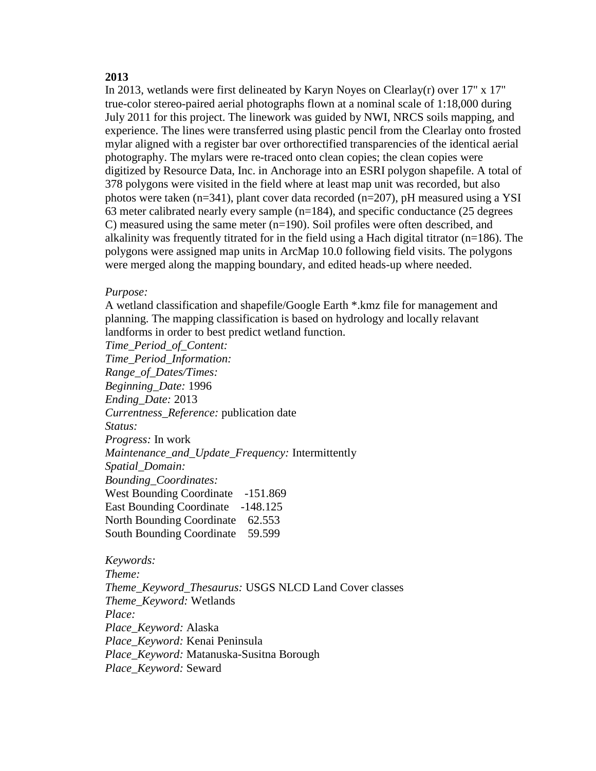#### **2013**

In 2013, wetlands were first delineated by Karyn Noyes on Clearlay(r) over 17" x 17" true-color stereo-paired aerial photographs flown at a nominal scale of 1:18,000 during July 2011 for this project. The linework was guided by NWI, NRCS soils mapping, and experience. The lines were transferred using plastic pencil from the Clearlay onto frosted mylar aligned with a register bar over orthorectified transparencies of the identical aerial photography. The mylars were re-traced onto clean copies; the clean copies were digitized by Resource Data, Inc. in Anchorage into an ESRI polygon shapefile. A total of 378 polygons were visited in the field where at least map unit was recorded, but also photos were taken (n=341), plant cover data recorded (n=207), pH measured using a YSI 63 meter calibrated nearly every sample (n=184), and specific conductance (25 degrees C) measured using the same meter (n=190). Soil profiles were often described, and alkalinity was frequently titrated for in the field using a Hach digital titrator ( $n=186$ ). The polygons were assigned map units in ArcMap 10.0 following field visits. The polygons were merged along the mapping boundary, and edited heads-up where needed.

#### *Purpose:*

A wetland classification and shapefile/Google Earth \*.kmz file for management and planning. The mapping classification is based on hydrology and locally relavant landforms in order to best predict wetland function.

*Time\_Period\_of\_Content: Time\_Period\_Information: Range\_of\_Dates/Times: Beginning\_Date:* 1996 *Ending\_Date:* 2013 *Currentness\_Reference:* publication date *Status: Progress:* In work *Maintenance\_and\_Update\_Frequency:* Intermittently *Spatial\_Domain: Bounding\_Coordinates:* West Bounding Coordinate -151.869 East Bounding Coordinate -148.125 North Bounding Coordinate 62.553 South Bounding Coordinate 59.599

*Keywords: Theme: Theme\_Keyword\_Thesaurus:* USGS NLCD Land Cover classes *Theme\_Keyword:* Wetlands *Place: Place\_Keyword:* Alaska *Place\_Keyword:* Kenai Peninsula *Place\_Keyword:* Matanuska-Susitna Borough *Place\_Keyword:* Seward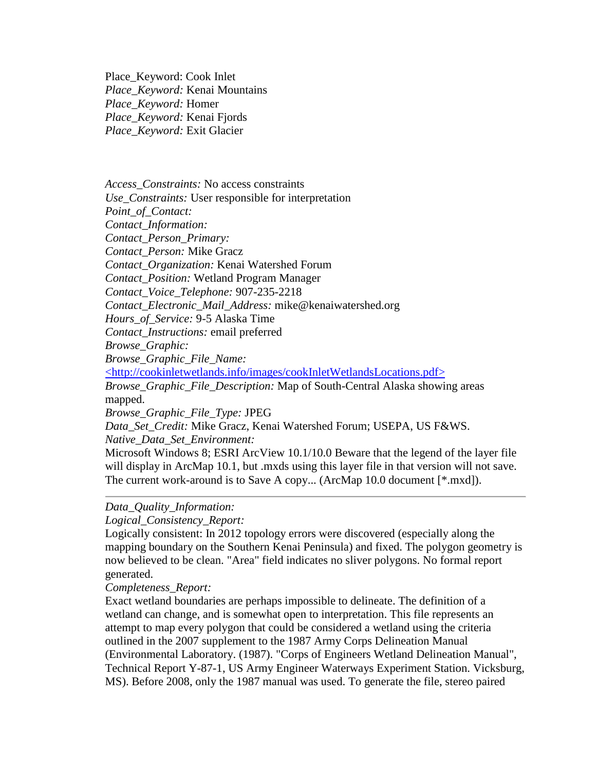Place\_Keyword: Cook Inlet *Place\_Keyword:* Kenai Mountains *Place\_Keyword:* Homer *Place\_Keyword:* Kenai Fjords *Place\_Keyword:* Exit Glacier

*Access\_Constraints:* No access constraints *Use\_Constraints:* User responsible for interpretation *Point\_of\_Contact:*

*Contact\_Information:*

*Contact\_Person\_Primary:*

*Contact\_Person:* Mike Gracz

*Contact\_Organization:* Kenai Watershed Forum

*Contact\_Position:* Wetland Program Manager

*Contact\_Voice\_Telephone:* 907-235-2218

*Contact\_Electronic\_Mail\_Address:* mike@kenaiwatershed.org

*Hours\_of\_Service:* 9-5 Alaska Time

*Contact\_Instructions:* email preferred

*Browse\_Graphic:*

*Browse\_Graphic\_File\_Name:*

[<http://cookinletwetlands.info/images/cookInletWetlandsLocations.pdf>](http://cookinletwetlands.info/images/cookInletWetlandsLocations.jpg)

*Browse\_Graphic\_File\_Description:* Map of South-Central Alaska showing areas mapped.

*Browse\_Graphic\_File\_Type:* JPEG

*Data\_Set\_Credit:* Mike Gracz, Kenai Watershed Forum; USEPA, US F&WS. *Native\_Data\_Set\_Environment:*

Microsoft Windows 8; ESRI ArcView 10.1/10.0 Beware that the legend of the layer file will display in ArcMap 10.1, but .mxds using this layer file in that version will not save. The current work-around is to Save A copy... (ArcMap 10.0 document [\*.mxd]).

## <span id="page-4-0"></span>*Data\_Quality\_Information:*

*Logical\_Consistency\_Report:*

Logically consistent: In 2012 topology errors were discovered (especially along the mapping boundary on the Southern Kenai Peninsula) and fixed. The polygon geometry is now believed to be clean. "Area" field indicates no sliver polygons. No formal report generated.

*Completeness\_Report:*

Exact wetland boundaries are perhaps impossible to delineate. The definition of a wetland can change, and is somewhat open to interpretation. This file represents an attempt to map every polygon that could be considered a wetland using the criteria outlined in the 2007 supplement to the 1987 Army Corps Delineation Manual (Environmental Laboratory. (1987). "Corps of Engineers Wetland Delineation Manual", Technical Report Y-87-1, US Army Engineer Waterways Experiment Station. Vicksburg, MS). Before 2008, only the 1987 manual was used. To generate the file, stereo paired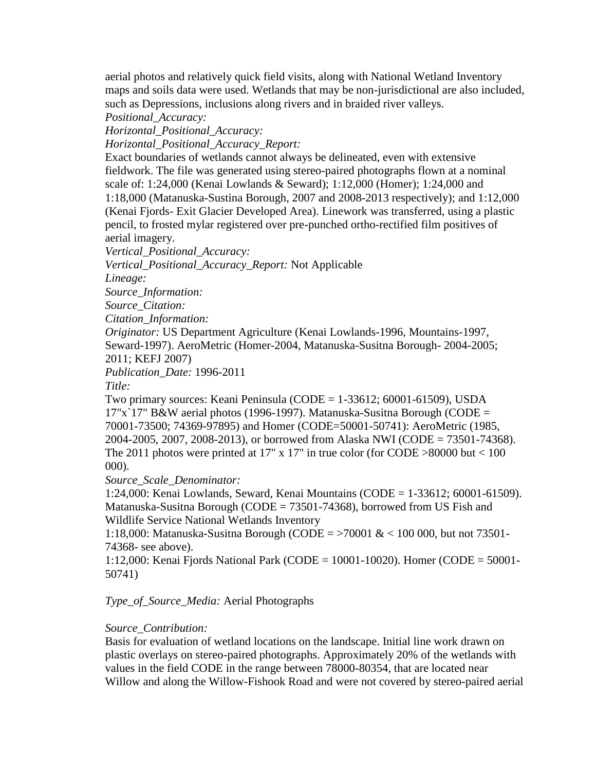aerial photos and relatively quick field visits, along with National Wetland Inventory maps and soils data were used. Wetlands that may be non-jurisdictional are also included, such as Depressions, inclusions along rivers and in braided river valleys.

*Positional\_Accuracy:*

*Horizontal\_Positional\_Accuracy:*

*Horizontal\_Positional\_Accuracy\_Report:*

Exact boundaries of wetlands cannot always be delineated, even with extensive fieldwork. The file was generated using stereo-paired photographs flown at a nominal scale of: 1:24,000 (Kenai Lowlands & Seward); 1:12,000 (Homer); 1:24,000 and 1:18,000 (Matanuska-Sustina Borough, 2007 and 2008-2013 respectively); and 1:12,000 (Kenai Fjords- Exit Glacier Developed Area). Linework was transferred, using a plastic pencil, to frosted mylar registered over pre-punched ortho-rectified film positives of aerial imagery.

*Vertical\_Positional\_Accuracy:*

*Vertical\_Positional\_Accuracy\_Report:* Not Applicable

*Lineage:*

*Source\_Information:*

*Source\_Citation:*

*Citation\_Information:*

*Originator:* US Department Agriculture (Kenai Lowlands-1996, Mountains-1997, Seward-1997). AeroMetric (Homer-2004, Matanuska-Susitna Borough- 2004-2005; 2011; KEFJ 2007)

*Publication\_Date:* 1996-2011

*Title:*

Two primary sources: Keani Peninsula (CODE =  $1-33612$ ; 60001 $-61509$ ), USDA  $17"x`17" B&W$  aerial photos (1996-1997). Matanuska-Susitna Borough (CODE = 70001-73500; 74369-97895) and Homer (CODE=50001-50741): AeroMetric (1985, 2004-2005, 2007, 2008-2013), or borrowed from Alaska NWI (CODE = 73501-74368). The 2011 photos were printed at 17" x 17" in true color (for CODE  $>80000$  but  $< 100$ 000).

*Source\_Scale\_Denominator:*

1:24,000: Kenai Lowlands, Seward, Kenai Mountains (CODE = 1-33612; 60001-61509). Matanuska-Susitna Borough (CODE = 73501-74368), borrowed from US Fish and Wildlife Service National Wetlands Inventory

1:18,000: Matanuska-Susitna Borough (CODE = >70001 & < 100 000, but not 73501- 74368- see above).

1:12,000: Kenai Fjords National Park (CODE = 10001-10020). Homer (CODE = 50001- 50741)

## *Type\_of\_Source\_Media:* Aerial Photographs

## *Source\_Contribution:*

Basis for evaluation of wetland locations on the landscape. Initial line work drawn on plastic overlays on stereo-paired photographs. Approximately 20% of the wetlands with values in the field CODE in the range between 78000-80354, that are located near Willow and along the Willow-Fishook Road and were not covered by stereo-paired aerial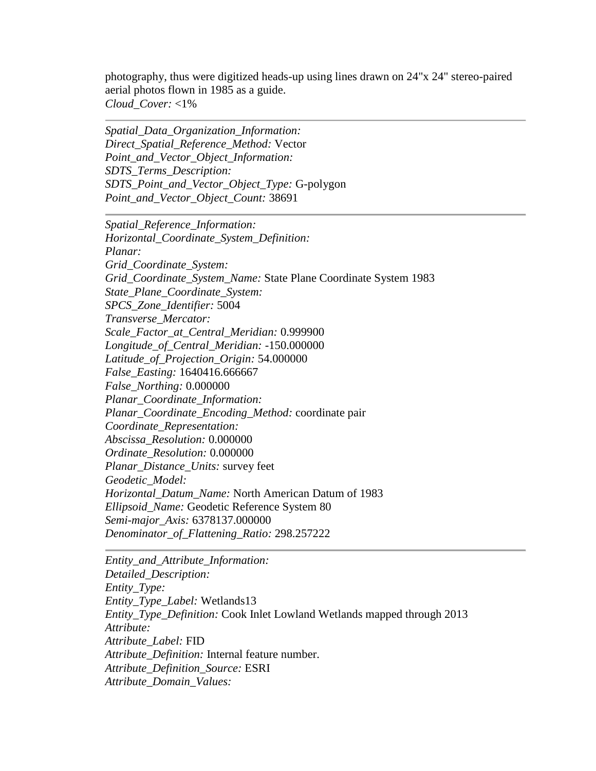photography, thus were digitized heads-up using lines drawn on 24"x 24" stereo-paired aerial photos flown in 1985 as a guide. *Cloud\_Cover:* <1%

<span id="page-6-0"></span>*Spatial\_Data\_Organization\_Information: Direct\_Spatial\_Reference\_Method:* Vector *Point\_and\_Vector\_Object\_Information: SDTS\_Terms\_Description: SDTS\_Point\_and\_Vector\_Object\_Type:* G-polygon *Point\_and\_Vector\_Object\_Count:* 38691

<span id="page-6-1"></span>*Spatial\_Reference\_Information: Horizontal\_Coordinate\_System\_Definition: Planar: Grid\_Coordinate\_System: Grid\_Coordinate\_System\_Name:* State Plane Coordinate System 1983 *State\_Plane\_Coordinate\_System: SPCS\_Zone\_Identifier:* 5004 *Transverse\_Mercator: Scale\_Factor\_at\_Central\_Meridian:* 0.999900 *Longitude\_of\_Central\_Meridian:* -150.000000 *Latitude\_of\_Projection\_Origin:* 54.000000 *False\_Easting:* 1640416.666667 *False\_Northing:* 0.000000 *Planar\_Coordinate\_Information: Planar\_Coordinate\_Encoding\_Method:* coordinate pair *Coordinate\_Representation: Abscissa\_Resolution:* 0.000000 *Ordinate\_Resolution:* 0.000000 *Planar\_Distance\_Units:* survey feet *Geodetic\_Model: Horizontal\_Datum\_Name:* North American Datum of 1983 *Ellipsoid\_Name:* Geodetic Reference System 80 *Semi-major\_Axis:* 6378137.000000 *Denominator\_of\_Flattening\_Ratio:* 298.257222

<span id="page-6-2"></span>*Entity\_and\_Attribute\_Information: Detailed\_Description: Entity\_Type: Entity\_Type\_Label:* Wetlands13 *Entity\_Type\_Definition:* Cook Inlet Lowland Wetlands mapped through 2013 *Attribute: Attribute\_Label:* FID *Attribute\_Definition:* Internal feature number. *Attribute\_Definition\_Source:* ESRI *Attribute\_Domain\_Values:*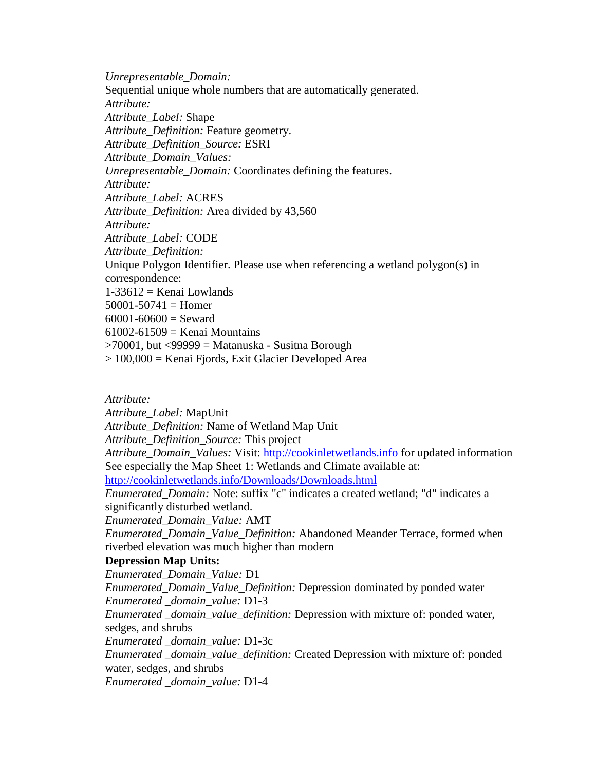*Unrepresentable\_Domain:* Sequential unique whole numbers that are automatically generated. *Attribute: Attribute\_Label:* Shape *Attribute\_Definition:* Feature geometry. *Attribute\_Definition\_Source:* ESRI *Attribute\_Domain\_Values: Unrepresentable\_Domain:* Coordinates defining the features. *Attribute: Attribute\_Label:* ACRES *Attribute\_Definition:* Area divided by 43,560 *Attribute: Attribute\_Label:* CODE *Attribute\_Definition:* Unique Polygon Identifier. Please use when referencing a wetland polygon(s) in correspondence:  $1-33612$  = Kenai Lowlands  $50001 - 50741 =$  Homer  $60001 - 60600 =$  Seward  $61002-61509$  = Kenai Mountains  $>70001$ , but  $<$ 99999 = Matanuska - Susitna Borough > 100,000 = Kenai Fjords, Exit Glacier Developed Area

*Attribute:*

*Attribute\_Label:* MapUnit

*Attribute\_Definition:* Name of Wetland Map Unit

*Attribute\_Definition\_Source:* This project

*Attribute\_Domain\_Values:* Visit: [http://cookinletwetlands.info](http://cookinletwetlands.info/) for updated information See especially the Map Sheet 1: Wetlands and Climate available at:

[http://cookinletwetlands.info/Downloads/Downloads.html](http://cookinletwetlands.info/Downloads/downloads.html)

*Enumerated\_Domain:* Note: suffix "c" indicates a created wetland; "d" indicates a significantly disturbed wetland.

*Enumerated\_Domain\_Value:* AMT

*Enumerated\_Domain\_Value\_Definition:* Abandoned Meander Terrace, formed when riverbed elevation was much higher than modern

#### **Depression Map Units:**

*Enumerated\_Domain\_Value:* D1

*Enumerated\_Domain\_Value\_Definition:* Depression dominated by ponded water *Enumerated \_domain\_value:* D1-3

*Enumerated \_domain\_value\_definition:* Depression with mixture of: ponded water, sedges, and shrubs

*Enumerated \_domain\_value:* D1-3c

*Enumerated \_domain\_value\_definition:* Created Depression with mixture of: ponded water, sedges, and shrubs

*Enumerated \_domain\_value:* D1-4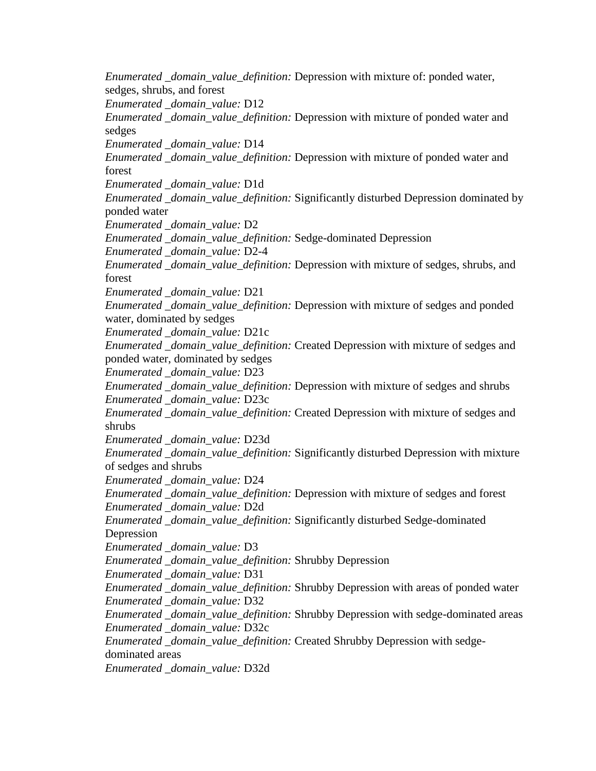*Enumerated \_domain\_value\_definition:* Depression with mixture of: ponded water, sedges, shrubs, and forest *Enumerated \_domain\_value:* D12 *Enumerated \_domain\_value\_definition:* Depression with mixture of ponded water and sedges *Enumerated \_domain\_value:* D14 *Enumerated \_domain\_value\_definition:* Depression with mixture of ponded water and forest *Enumerated \_domain\_value:* D1d *Enumerated \_domain\_value\_definition:* Significantly disturbed Depression dominated by ponded water *Enumerated \_domain\_value:* D2 *Enumerated \_domain\_value\_definition:* Sedge-dominated Depression *Enumerated \_domain\_value:* D2-4 *Enumerated \_domain\_value\_definition:* Depression with mixture of sedges, shrubs, and forest *Enumerated \_domain\_value:* D21 *Enumerated \_domain\_value\_definition:* Depression with mixture of sedges and ponded water, dominated by sedges *Enumerated \_domain\_value:* D21c *Enumerated \_domain\_value\_definition:* Created Depression with mixture of sedges and ponded water, dominated by sedges *Enumerated \_domain\_value:* D23 *Enumerated \_domain\_value\_definition:* Depression with mixture of sedges and shrubs *Enumerated \_domain\_value:* D23c *Enumerated \_domain\_value\_definition:* Created Depression with mixture of sedges and shrubs *Enumerated \_domain\_value:* D23d *Enumerated \_domain\_value\_definition:* Significantly disturbed Depression with mixture of sedges and shrubs *Enumerated \_domain\_value:* D24 *Enumerated \_domain\_value\_definition:* Depression with mixture of sedges and forest *Enumerated \_domain\_value:* D2d *Enumerated \_domain\_value\_definition:* Significantly disturbed Sedge-dominated Depression *Enumerated \_domain\_value:* D3 *Enumerated \_domain\_value\_definition:* Shrubby Depression *Enumerated \_domain\_value:* D31 *Enumerated \_domain\_value\_definition:* Shrubby Depression with areas of ponded water *Enumerated \_domain\_value:* D32 *Enumerated \_domain\_value\_definition:* Shrubby Depression with sedge-dominated areas *Enumerated \_domain\_value:* D32c *Enumerated \_domain\_value\_definition:* Created Shrubby Depression with sedgedominated areas *Enumerated \_domain\_value:* D32d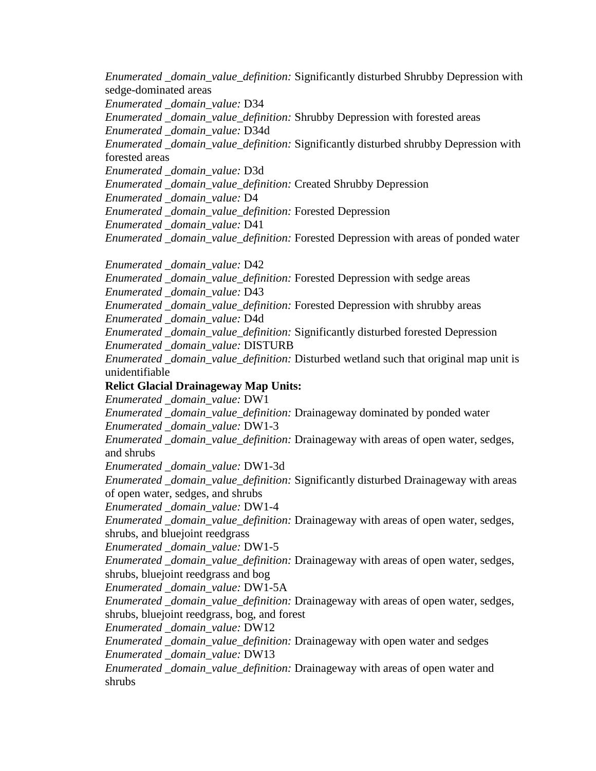*Enumerated \_domain\_value\_definition:* Significantly disturbed Shrubby Depression with sedge-dominated areas

*Enumerated \_domain\_value:* D34

*Enumerated \_domain\_value\_definition:* Shrubby Depression with forested areas

*Enumerated \_domain\_value:* D34d

*Enumerated \_domain\_value\_definition:* Significantly disturbed shrubby Depression with forested areas

*Enumerated \_domain\_value:* D3d

*Enumerated \_domain\_value\_definition:* Created Shrubby Depression

*Enumerated \_domain\_value:* D4

*Enumerated \_domain\_value\_definition:* Forested Depression

*Enumerated \_domain\_value:* D41

*Enumerated \_domain\_value\_definition:* Forested Depression with areas of ponded water

*Enumerated \_domain\_value:* D42

*Enumerated \_domain\_value\_definition:* Forested Depression with sedge areas *Enumerated \_domain\_value:* D43

*Enumerated \_domain\_value\_definition:* Forested Depression with shrubby areas *Enumerated \_domain\_value:* D4d

*Enumerated \_domain\_value\_definition:* Significantly disturbed forested Depression *Enumerated \_domain\_value:* DISTURB

*Enumerated \_domain\_value\_definition:* Disturbed wetland such that original map unit is unidentifiable

# **Relict Glacial Drainageway Map Units:**

*Enumerated \_domain\_value:* DW1

*Enumerated \_domain\_value\_definition:* Drainageway dominated by ponded water *Enumerated \_domain\_value:* DW1-3

*Enumerated \_domain\_value\_definition:* Drainageway with areas of open water, sedges, and shrubs

*Enumerated \_domain\_value:* DW1-3d

*Enumerated \_domain\_value\_definition:* Significantly disturbed Drainageway with areas of open water, sedges, and shrubs

*Enumerated \_domain\_value:* DW1-4

*Enumerated \_domain\_value\_definition:* Drainageway with areas of open water, sedges, shrubs, and bluejoint reedgrass

*Enumerated \_domain\_value:* DW1-5

*Enumerated \_domain\_value\_definition:* Drainageway with areas of open water, sedges, shrubs, bluejoint reedgrass and bog

*Enumerated \_domain\_value:* DW1-5A

*Enumerated \_domain\_value\_definition:* Drainageway with areas of open water, sedges, shrubs, bluejoint reedgrass, bog, and forest

*Enumerated \_domain\_value:* DW12

*Enumerated \_domain\_value\_definition:* Drainageway with open water and sedges *Enumerated \_domain\_value:* DW13

*Enumerated \_domain\_value\_definition:* Drainageway with areas of open water and shrubs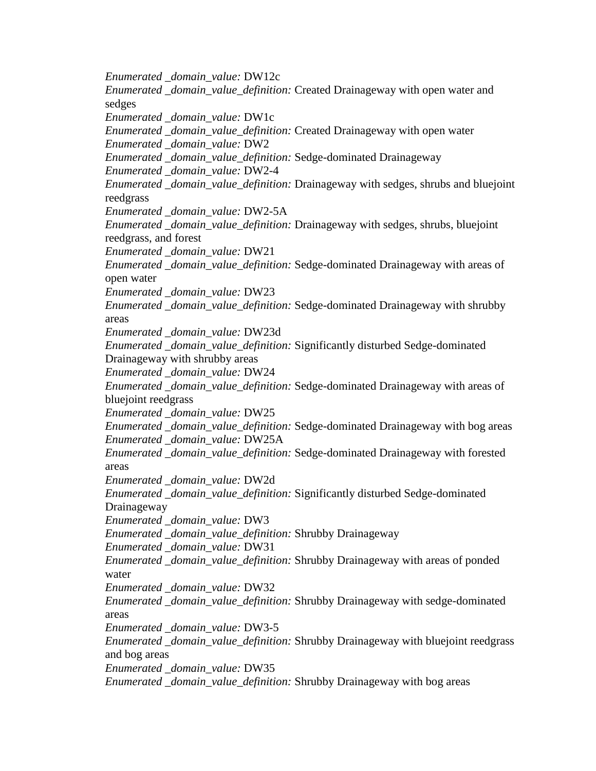*Enumerated \_domain\_value:* DW12c *Enumerated \_domain\_value\_definition:* Created Drainageway with open water and sedges *Enumerated \_domain\_value:* DW1c *Enumerated \_domain\_value\_definition:* Created Drainageway with open water *Enumerated \_domain\_value:* DW2 *Enumerated \_domain\_value\_definition:* Sedge-dominated Drainageway *Enumerated \_domain\_value:* DW2-4 *Enumerated \_domain\_value\_definition:* Drainageway with sedges, shrubs and bluejoint reedgrass *Enumerated \_domain\_value:* DW2-5A *Enumerated \_domain\_value\_definition:* Drainageway with sedges, shrubs, bluejoint reedgrass, and forest *Enumerated \_domain\_value:* DW21 *Enumerated \_domain\_value\_definition:* Sedge-dominated Drainageway with areas of open water *Enumerated \_domain\_value:* DW23 *Enumerated \_domain\_value\_definition:* Sedge-dominated Drainageway with shrubby areas *Enumerated \_domain\_value:* DW23d *Enumerated \_domain\_value\_definition:* Significantly disturbed Sedge-dominated Drainageway with shrubby areas *Enumerated \_domain\_value:* DW24 *Enumerated \_domain\_value\_definition:* Sedge-dominated Drainageway with areas of bluejoint reedgrass *Enumerated \_domain\_value:* DW25 *Enumerated \_domain\_value\_definition:* Sedge-dominated Drainageway with bog areas *Enumerated \_domain\_value:* DW25A *Enumerated \_domain\_value\_definition:* Sedge-dominated Drainageway with forested areas *Enumerated \_domain\_value:* DW2d *Enumerated \_domain\_value\_definition:* Significantly disturbed Sedge-dominated Drainageway *Enumerated \_domain\_value:* DW3 *Enumerated \_domain\_value\_definition:* Shrubby Drainageway *Enumerated \_domain\_value:* DW31 *Enumerated \_domain\_value\_definition:* Shrubby Drainageway with areas of ponded water *Enumerated \_domain\_value:* DW32 *Enumerated \_domain\_value\_definition:* Shrubby Drainageway with sedge-dominated areas *Enumerated \_domain\_value:* DW3-5 *Enumerated \_domain\_value\_definition:* Shrubby Drainageway with bluejoint reedgrass and bog areas *Enumerated \_domain\_value:* DW35 *Enumerated \_domain\_value\_definition:* Shrubby Drainageway with bog areas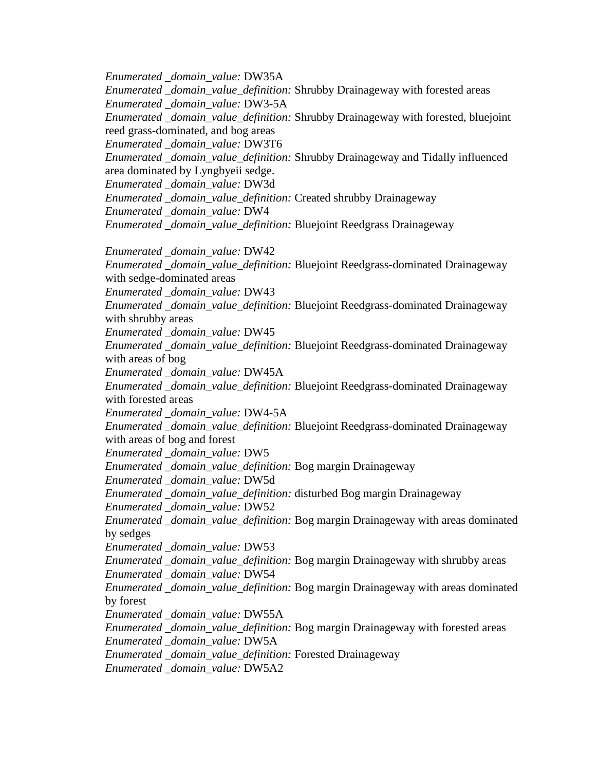*Enumerated \_domain\_value:* DW35A

*Enumerated \_domain\_value\_definition:* Shrubby Drainageway with forested areas

*Enumerated \_domain\_value:* DW3-5A

*Enumerated \_domain\_value\_definition:* Shrubby Drainageway with forested, bluejoint reed grass-dominated, and bog areas

*Enumerated \_domain\_value:* DW3T6

*Enumerated \_domain\_value\_definition:* Shrubby Drainageway and Tidally influenced area dominated by Lyngbyeii sedge.

*Enumerated \_domain\_value:* DW3d

*Enumerated \_domain\_value\_definition:* Created shrubby Drainageway

*Enumerated \_domain\_value:* DW4

*Enumerated \_domain\_value\_definition:* Bluejoint Reedgrass Drainageway

*Enumerated \_domain\_value:* DW42

*Enumerated \_domain\_value\_definition:* Bluejoint Reedgrass-dominated Drainageway with sedge-dominated areas

*Enumerated \_domain\_value:* DW43

*Enumerated \_domain\_value\_definition:* Bluejoint Reedgrass-dominated Drainageway with shrubby areas

*Enumerated \_domain\_value:* DW45

*Enumerated \_domain\_value\_definition:* Bluejoint Reedgrass-dominated Drainageway with areas of bog

*Enumerated \_domain\_value:* DW45A

*Enumerated \_domain\_value\_definition:* Bluejoint Reedgrass-dominated Drainageway with forested areas

*Enumerated \_domain\_value:* DW4-5A

*Enumerated \_domain\_value\_definition:* Bluejoint Reedgrass-dominated Drainageway with areas of bog and forest

*Enumerated \_domain\_value:* DW5

*Enumerated \_domain\_value\_definition:* Bog margin Drainageway

*Enumerated \_domain\_value:* DW5d

*Enumerated \_domain\_value\_definition:* disturbed Bog margin Drainageway

*Enumerated \_domain\_value:* DW52

*Enumerated \_domain\_value\_definition:* Bog margin Drainageway with areas dominated by sedges

*Enumerated \_domain\_value:* DW53

*Enumerated \_domain\_value\_definition:* Bog margin Drainageway with shrubby areas *Enumerated \_domain\_value:* DW54

*Enumerated \_domain\_value\_definition:* Bog margin Drainageway with areas dominated by forest

*Enumerated \_domain\_value:* DW55A

*Enumerated \_domain\_value\_definition:* Bog margin Drainageway with forested areas *Enumerated \_domain\_value:* DW5A

*Enumerated \_domain\_value\_definition:* Forested Drainageway

*Enumerated \_domain\_value:* DW5A2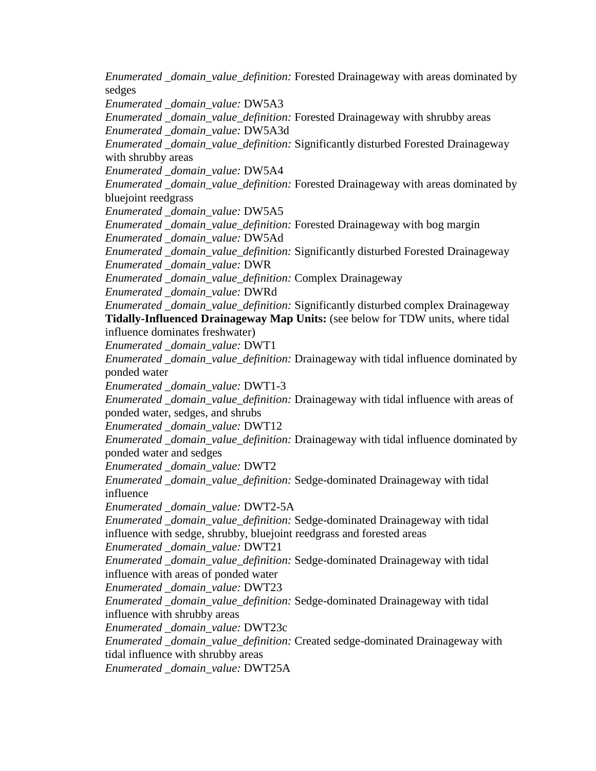*Enumerated \_domain\_value\_definition:* Forested Drainageway with areas dominated by sedges

*Enumerated \_domain\_value:* DW5A3

*Enumerated \_domain\_value\_definition:* Forested Drainageway with shrubby areas *Enumerated \_domain\_value:* DW5A3d

*Enumerated \_domain\_value\_definition:* Significantly disturbed Forested Drainageway with shrubby areas

*Enumerated \_domain\_value:* DW5A4

*Enumerated \_domain\_value\_definition:* Forested Drainageway with areas dominated by bluejoint reedgrass

*Enumerated \_domain\_value:* DW5A5

*Enumerated \_domain\_value\_definition:* Forested Drainageway with bog margin *Enumerated \_domain\_value:* DW5Ad

*Enumerated \_domain\_value\_definition:* Significantly disturbed Forested Drainageway *Enumerated \_domain\_value:* DWR

*Enumerated \_domain\_value\_definition:* Complex Drainageway

*Enumerated \_domain\_value:* DWRd

*Enumerated \_domain\_value\_definition:* Significantly disturbed complex Drainageway **Tidally-Influenced Drainageway Map Units:** (see below for TDW units, where tidal influence dominates freshwater)

*Enumerated \_domain\_value:* DWT1

*Enumerated \_domain\_value\_definition:* Drainageway with tidal influence dominated by ponded water

*Enumerated \_domain\_value:* DWT1-3

*Enumerated \_domain\_value\_definition:* Drainageway with tidal influence with areas of ponded water, sedges, and shrubs

*Enumerated \_domain\_value:* DWT12

*Enumerated \_domain\_value\_definition:* Drainageway with tidal influence dominated by ponded water and sedges

*Enumerated \_domain\_value:* DWT2

*Enumerated \_domain\_value\_definition:* Sedge-dominated Drainageway with tidal influence

*Enumerated \_domain\_value:* DWT2-5A

*Enumerated \_domain\_value\_definition:* Sedge-dominated Drainageway with tidal influence with sedge, shrubby, bluejoint reedgrass and forested areas

*Enumerated \_domain\_value:* DWT21

*Enumerated \_domain\_value\_definition:* Sedge-dominated Drainageway with tidal influence with areas of ponded water

*Enumerated \_domain\_value:* DWT23

*Enumerated \_domain\_value\_definition:* Sedge-dominated Drainageway with tidal influence with shrubby areas

*Enumerated \_domain\_value:* DWT23c

*Enumerated \_domain\_value\_definition:* Created sedge-dominated Drainageway with tidal influence with shrubby areas

*Enumerated \_domain\_value:* DWT25A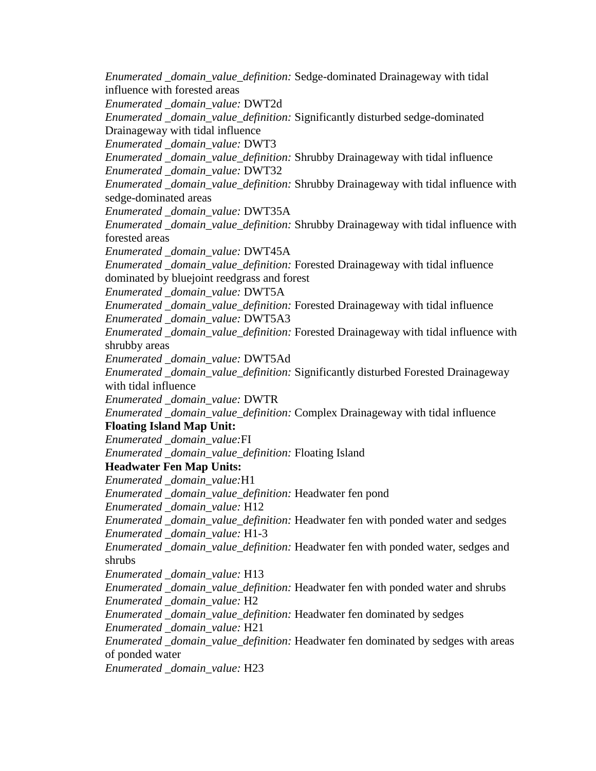*Enumerated \_domain\_value\_definition:* Sedge-dominated Drainageway with tidal influence with forested areas *Enumerated \_domain\_value:* DWT2d *Enumerated \_domain\_value\_definition:* Significantly disturbed sedge-dominated Drainageway with tidal influence *Enumerated \_domain\_value:* DWT3 *Enumerated \_domain\_value\_definition:* Shrubby Drainageway with tidal influence *Enumerated \_domain\_value:* DWT32 *Enumerated \_domain\_value\_definition:* Shrubby Drainageway with tidal influence with sedge-dominated areas *Enumerated \_domain\_value:* DWT35A *Enumerated \_domain\_value\_definition:* Shrubby Drainageway with tidal influence with forested areas *Enumerated \_domain\_value:* DWT45A *Enumerated \_domain\_value\_definition:* Forested Drainageway with tidal influence dominated by bluejoint reedgrass and forest *Enumerated \_domain\_value:* DWT5A *Enumerated \_domain\_value\_definition:* Forested Drainageway with tidal influence *Enumerated \_domain\_value:* DWT5A3 *Enumerated \_domain\_value\_definition:* Forested Drainageway with tidal influence with shrubby areas *Enumerated \_domain\_value:* DWT5Ad *Enumerated \_domain\_value\_definition:* Significantly disturbed Forested Drainageway with tidal influence *Enumerated \_domain\_value:* DWTR *Enumerated \_domain\_value\_definition:* Complex Drainageway with tidal influence **Floating Island Map Unit:** *Enumerated \_domain\_value:*FI *Enumerated \_domain\_value\_definition:* Floating Island **Headwater Fen Map Units:** *Enumerated \_domain\_value:*H1 *Enumerated \_domain\_value\_definition:* Headwater fen pond *Enumerated \_domain\_value:* H12 *Enumerated \_domain\_value\_definition:* Headwater fen with ponded water and sedges *Enumerated \_domain\_value:* H1-3 *Enumerated \_domain\_value\_definition:* Headwater fen with ponded water, sedges and shrubs *Enumerated \_domain\_value:* H13 *Enumerated \_domain\_value\_definition:* Headwater fen with ponded water and shrubs *Enumerated \_domain\_value:* H2 *Enumerated \_domain\_value\_definition:* Headwater fen dominated by sedges *Enumerated \_domain\_value:* H21 *Enumerated \_domain\_value\_definition:* Headwater fen dominated by sedges with areas of ponded water *Enumerated \_domain\_value:* H23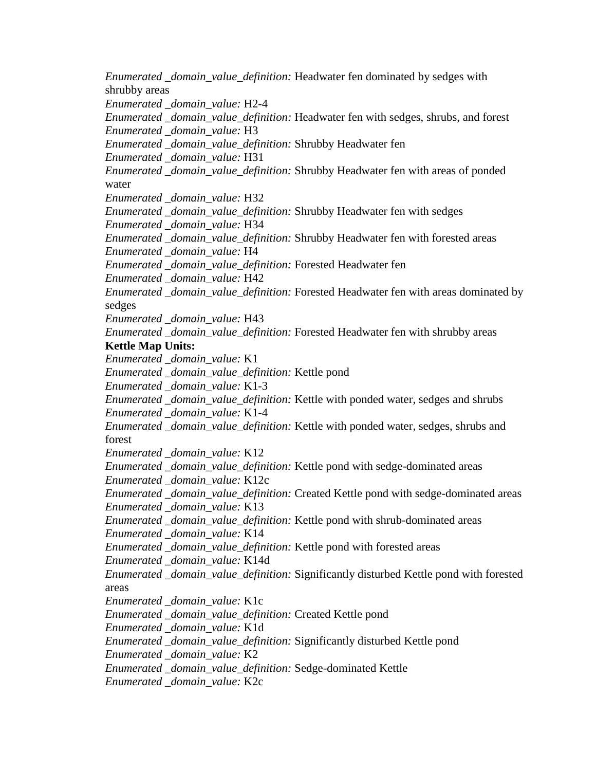*Enumerated \_domain\_value\_definition:* Headwater fen dominated by sedges with shrubby areas *Enumerated \_domain\_value:* H2-4 *Enumerated \_domain\_value\_definition:* Headwater fen with sedges, shrubs, and forest *Enumerated \_domain\_value:* H3 *Enumerated \_domain\_value\_definition:* Shrubby Headwater fen *Enumerated \_domain\_value:* H31 *Enumerated \_domain\_value\_definition:* Shrubby Headwater fen with areas of ponded water *Enumerated \_domain\_value:* H32 *Enumerated \_domain\_value\_definition:* Shrubby Headwater fen with sedges *Enumerated \_domain\_value:* H34 *Enumerated \_domain\_value\_definition:* Shrubby Headwater fen with forested areas *Enumerated \_domain\_value:* H4 *Enumerated \_domain\_value\_definition:* Forested Headwater fen *Enumerated \_domain\_value:* H42 *Enumerated \_domain\_value\_definition:* Forested Headwater fen with areas dominated by sedges *Enumerated \_domain\_value:* H43 *Enumerated \_domain\_value\_definition:* Forested Headwater fen with shrubby areas **Kettle Map Units:** *Enumerated \_domain\_value:* K1 *Enumerated \_domain\_value\_definition:* Kettle pond *Enumerated \_domain\_value:* K1-3 *Enumerated \_domain\_value\_definition:* Kettle with ponded water, sedges and shrubs *Enumerated \_domain\_value:* K1-4 *Enumerated \_domain\_value\_definition:* Kettle with ponded water, sedges, shrubs and forest *Enumerated \_domain\_value:* K12 *Enumerated \_domain\_value\_definition:* Kettle pond with sedge-dominated areas *Enumerated \_domain\_value:* K12c *Enumerated \_domain\_value\_definition:* Created Kettle pond with sedge-dominated areas *Enumerated \_domain\_value:* K13 *Enumerated \_domain\_value\_definition:* Kettle pond with shrub-dominated areas *Enumerated \_domain\_value:* K14 *Enumerated \_domain\_value\_definition:* Kettle pond with forested areas *Enumerated \_domain\_value:* K14d *Enumerated \_domain\_value\_definition:* Significantly disturbed Kettle pond with forested areas *Enumerated \_domain\_value:* K1c *Enumerated \_domain\_value\_definition:* Created Kettle pond *Enumerated \_domain\_value:* K1d *Enumerated \_domain\_value\_definition:* Significantly disturbed Kettle pond *Enumerated \_domain\_value:* K2 *Enumerated \_domain\_value\_definition:* Sedge-dominated Kettle *Enumerated \_domain\_value:* K2c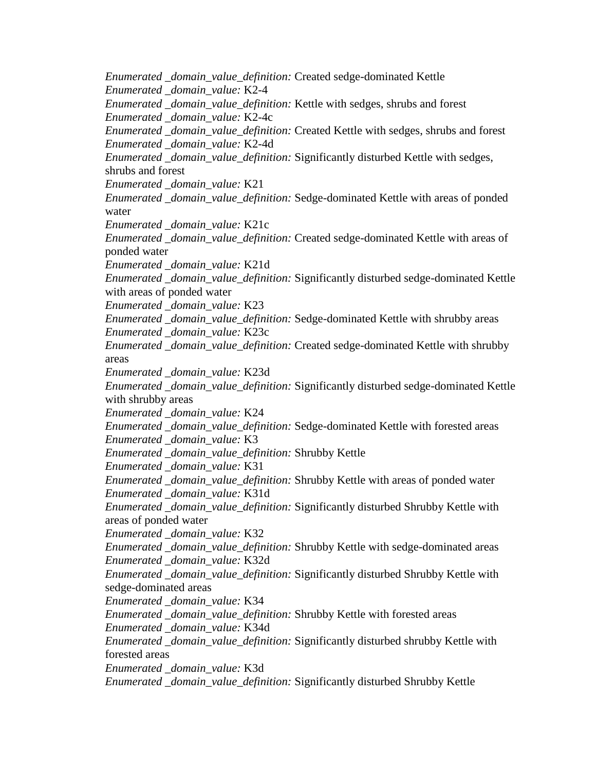*Enumerated \_domain\_value\_definition:* Created sedge-dominated Kettle *Enumerated \_domain\_value:* K2-4 *Enumerated \_domain\_value\_definition:* Kettle with sedges, shrubs and forest *Enumerated \_domain\_value:* K2-4c *Enumerated \_domain\_value\_definition:* Created Kettle with sedges, shrubs and forest *Enumerated \_domain\_value:* K2-4d *Enumerated \_domain\_value\_definition:* Significantly disturbed Kettle with sedges, shrubs and forest *Enumerated \_domain\_value:* K21 *Enumerated \_domain\_value\_definition:* Sedge-dominated Kettle with areas of ponded water *Enumerated \_domain\_value:* K21c *Enumerated \_domain\_value\_definition:* Created sedge-dominated Kettle with areas of ponded water *Enumerated \_domain\_value:* K21d *Enumerated \_domain\_value\_definition:* Significantly disturbed sedge-dominated Kettle with areas of ponded water *Enumerated \_domain\_value:* K23 *Enumerated \_domain\_value\_definition:* Sedge-dominated Kettle with shrubby areas *Enumerated \_domain\_value:* K23c *Enumerated \_domain\_value\_definition:* Created sedge-dominated Kettle with shrubby areas *Enumerated \_domain\_value:* K23d *Enumerated \_domain\_value\_definition:* Significantly disturbed sedge-dominated Kettle with shrubby areas *Enumerated \_domain\_value:* K24 *Enumerated \_domain\_value\_definition:* Sedge-dominated Kettle with forested areas *Enumerated \_domain\_value:* K3 *Enumerated \_domain\_value\_definition:* Shrubby Kettle *Enumerated \_domain\_value:* K31 *Enumerated \_domain\_value\_definition:* Shrubby Kettle with areas of ponded water *Enumerated \_domain\_value:* K31d *Enumerated \_domain\_value\_definition:* Significantly disturbed Shrubby Kettle with areas of ponded water *Enumerated \_domain\_value:* K32 *Enumerated \_domain\_value\_definition:* Shrubby Kettle with sedge-dominated areas *Enumerated \_domain\_value:* K32d *Enumerated \_domain\_value\_definition:* Significantly disturbed Shrubby Kettle with sedge-dominated areas *Enumerated \_domain\_value:* K34 *Enumerated \_domain\_value\_definition:* Shrubby Kettle with forested areas *Enumerated \_domain\_value:* K34d *Enumerated \_domain\_value\_definition:* Significantly disturbed shrubby Kettle with forested areas *Enumerated \_domain\_value:* K3d *Enumerated \_domain\_value\_definition:* Significantly disturbed Shrubby Kettle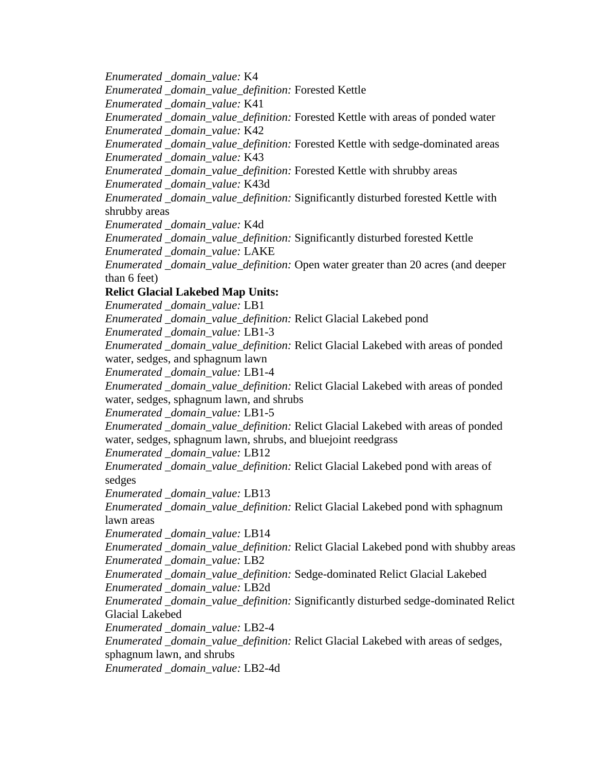*Enumerated \_domain\_value:* K4

*Enumerated \_domain\_value\_definition:* Forested Kettle

*Enumerated \_domain\_value:* K41

*Enumerated \_domain\_value\_definition:* Forested Kettle with areas of ponded water *Enumerated \_domain\_value:* K42

*Enumerated \_domain\_value\_definition:* Forested Kettle with sedge-dominated areas *Enumerated \_domain\_value:* K43

*Enumerated \_domain\_value\_definition:* Forested Kettle with shrubby areas *Enumerated \_domain\_value:* K43d

*Enumerated \_domain\_value\_definition:* Significantly disturbed forested Kettle with shrubby areas

*Enumerated \_domain\_value:* K4d

*Enumerated \_domain\_value\_definition:* Significantly disturbed forested Kettle *Enumerated \_domain\_value:* LAKE

*Enumerated \_domain\_value\_definition:* Open water greater than 20 acres (and deeper than 6 feet)

# **Relict Glacial Lakebed Map Units:**

*Enumerated \_domain\_value:* LB1

*Enumerated \_domain\_value\_definition:* Relict Glacial Lakebed pond

*Enumerated \_domain\_value:* LB1-3

*Enumerated \_domain\_value\_definition:* Relict Glacial Lakebed with areas of ponded water, sedges, and sphagnum lawn

*Enumerated \_domain\_value:* LB1-4

*Enumerated \_domain\_value\_definition:* Relict Glacial Lakebed with areas of ponded water, sedges, sphagnum lawn, and shrubs

*Enumerated \_domain\_value:* LB1-5

*Enumerated \_domain\_value\_definition:* Relict Glacial Lakebed with areas of ponded water, sedges, sphagnum lawn, shrubs, and bluejoint reedgrass

*Enumerated \_domain\_value:* LB12

*Enumerated \_domain\_value\_definition:* Relict Glacial Lakebed pond with areas of sedges

*Enumerated \_domain\_value:* LB13

*Enumerated \_domain\_value\_definition:* Relict Glacial Lakebed pond with sphagnum lawn areas

*Enumerated \_domain\_value:* LB14

*Enumerated \_domain\_value\_definition:* Relict Glacial Lakebed pond with shubby areas *Enumerated \_domain\_value:* LB2

*Enumerated \_domain\_value\_definition:* Sedge-dominated Relict Glacial Lakebed *Enumerated \_domain\_value:* LB2d

*Enumerated \_domain\_value\_definition:* Significantly disturbed sedge-dominated Relict Glacial Lakebed

*Enumerated \_domain\_value:* LB2-4

*Enumerated \_domain\_value\_definition:* Relict Glacial Lakebed with areas of sedges, sphagnum lawn, and shrubs

*Enumerated \_domain\_value:* LB2-4d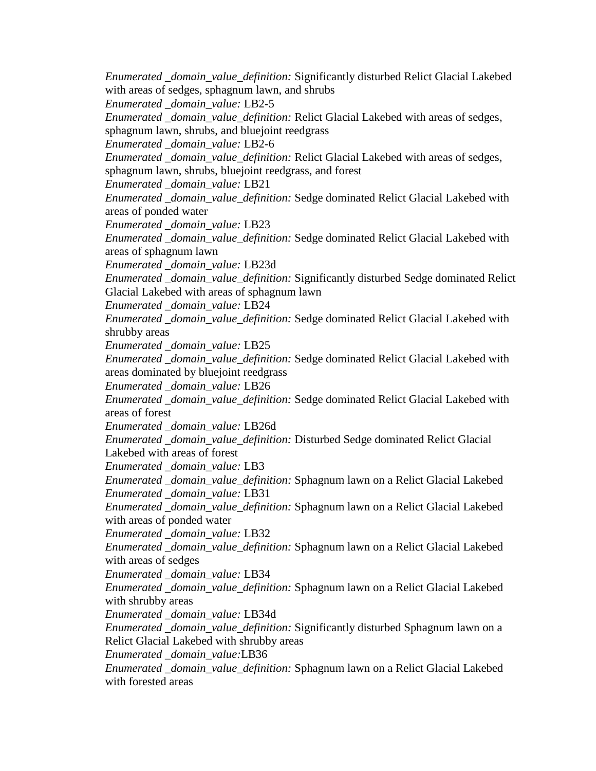*Enumerated \_domain\_value\_definition:* Significantly disturbed Relict Glacial Lakebed with areas of sedges, sphagnum lawn, and shrubs *Enumerated \_domain\_value:* LB2-5 *Enumerated \_domain\_value\_definition:* Relict Glacial Lakebed with areas of sedges, sphagnum lawn, shrubs, and bluejoint reedgrass *Enumerated \_domain\_value:* LB2-6 *Enumerated \_domain\_value\_definition:* Relict Glacial Lakebed with areas of sedges, sphagnum lawn, shrubs, bluejoint reedgrass, and forest *Enumerated \_domain\_value:* LB21 *Enumerated \_domain\_value\_definition:* Sedge dominated Relict Glacial Lakebed with areas of ponded water *Enumerated \_domain\_value:* LB23 *Enumerated \_domain\_value\_definition:* Sedge dominated Relict Glacial Lakebed with areas of sphagnum lawn *Enumerated \_domain\_value:* LB23d *Enumerated \_domain\_value\_definition:* Significantly disturbed Sedge dominated Relict Glacial Lakebed with areas of sphagnum lawn *Enumerated \_domain\_value:* LB24 *Enumerated \_domain\_value\_definition:* Sedge dominated Relict Glacial Lakebed with shrubby areas *Enumerated \_domain\_value:* LB25 *Enumerated \_domain\_value\_definition:* Sedge dominated Relict Glacial Lakebed with areas dominated by bluejoint reedgrass *Enumerated \_domain\_value:* LB26 *Enumerated \_domain\_value\_definition:* Sedge dominated Relict Glacial Lakebed with areas of forest *Enumerated \_domain\_value:* LB26d *Enumerated \_domain\_value\_definition:* Disturbed Sedge dominated Relict Glacial Lakebed with areas of forest *Enumerated \_domain\_value:* LB3 *Enumerated \_domain\_value\_definition:* Sphagnum lawn on a Relict Glacial Lakebed *Enumerated \_domain\_value:* LB31 *Enumerated \_domain\_value\_definition:* Sphagnum lawn on a Relict Glacial Lakebed with areas of ponded water *Enumerated \_domain\_value:* LB32 *Enumerated \_domain\_value\_definition:* Sphagnum lawn on a Relict Glacial Lakebed with areas of sedges *Enumerated \_domain\_value:* LB34 *Enumerated \_domain\_value\_definition:* Sphagnum lawn on a Relict Glacial Lakebed with shrubby areas *Enumerated \_domain\_value:* LB34d *Enumerated \_domain\_value\_definition:* Significantly disturbed Sphagnum lawn on a Relict Glacial Lakebed with shrubby areas *Enumerated \_domain\_value:*LB36 *Enumerated \_domain\_value\_definition:* Sphagnum lawn on a Relict Glacial Lakebed with forested areas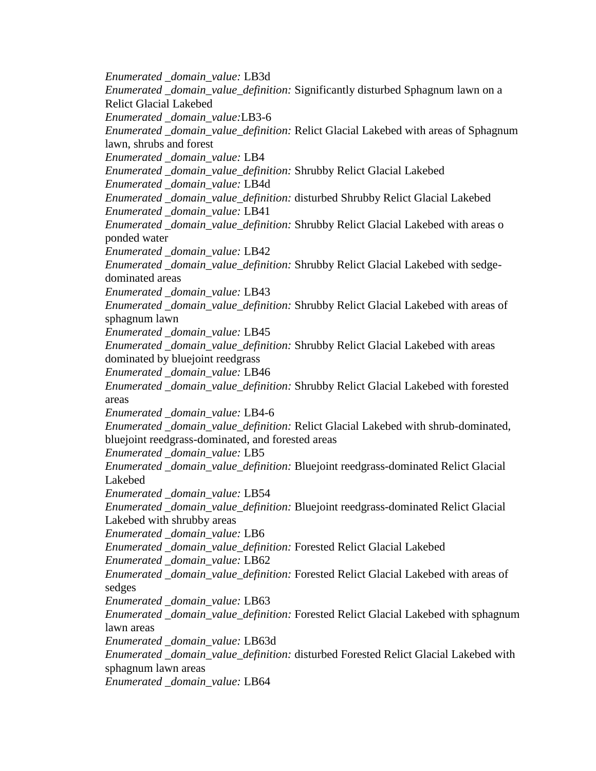*Enumerated \_domain\_value:* LB3d *Enumerated \_domain\_value\_definition:* Significantly disturbed Sphagnum lawn on a Relict Glacial Lakebed *Enumerated \_domain\_value:*LB3-6 *Enumerated \_domain\_value\_definition:* Relict Glacial Lakebed with areas of Sphagnum lawn, shrubs and forest *Enumerated \_domain\_value:* LB4 *Enumerated \_domain\_value\_definition:* Shrubby Relict Glacial Lakebed *Enumerated \_domain\_value:* LB4d *Enumerated \_domain\_value\_definition:* disturbed Shrubby Relict Glacial Lakebed *Enumerated \_domain\_value:* LB41 *Enumerated \_domain\_value\_definition:* Shrubby Relict Glacial Lakebed with areas o ponded water *Enumerated \_domain\_value:* LB42 *Enumerated \_domain\_value\_definition:* Shrubby Relict Glacial Lakebed with sedgedominated areas *Enumerated \_domain\_value:* LB43 *Enumerated \_domain\_value\_definition:* Shrubby Relict Glacial Lakebed with areas of sphagnum lawn *Enumerated \_domain\_value:* LB45 *Enumerated \_domain\_value\_definition:* Shrubby Relict Glacial Lakebed with areas dominated by bluejoint reedgrass *Enumerated \_domain\_value:* LB46 *Enumerated \_domain\_value\_definition:* Shrubby Relict Glacial Lakebed with forested areas *Enumerated \_domain\_value:* LB4-6 *Enumerated \_domain\_value\_definition:* Relict Glacial Lakebed with shrub-dominated, bluejoint reedgrass-dominated, and forested areas *Enumerated \_domain\_value:* LB5 *Enumerated \_domain\_value\_definition:* Bluejoint reedgrass-dominated Relict Glacial Lakebed *Enumerated \_domain\_value:* LB54 *Enumerated \_domain\_value\_definition:* Bluejoint reedgrass-dominated Relict Glacial Lakebed with shrubby areas *Enumerated \_domain\_value:* LB6 *Enumerated \_domain\_value\_definition:* Forested Relict Glacial Lakebed *Enumerated \_domain\_value:* LB62 *Enumerated \_domain\_value\_definition:* Forested Relict Glacial Lakebed with areas of sedges *Enumerated \_domain\_value:* LB63 *Enumerated \_domain\_value\_definition:* Forested Relict Glacial Lakebed with sphagnum lawn areas *Enumerated \_domain\_value:* LB63d *Enumerated \_domain\_value\_definition:* disturbed Forested Relict Glacial Lakebed with sphagnum lawn areas *Enumerated \_domain\_value:* LB64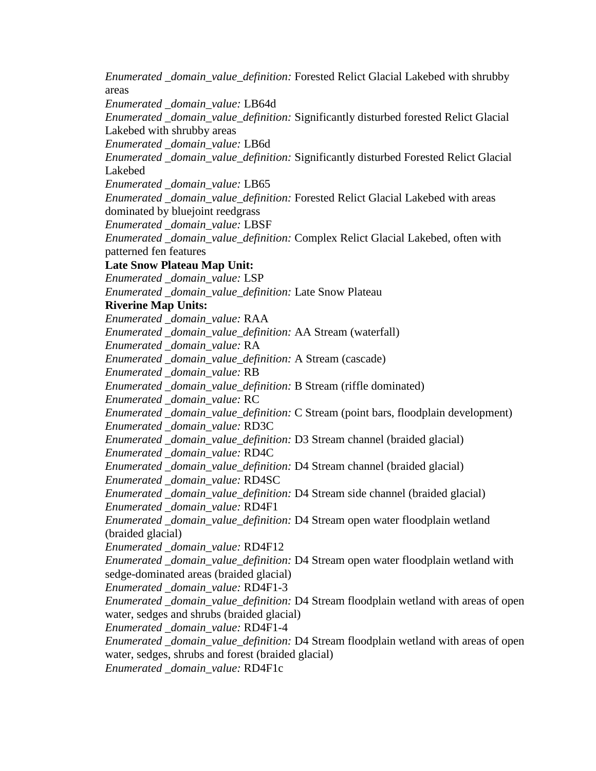*Enumerated \_domain\_value\_definition:* Forested Relict Glacial Lakebed with shrubby areas *Enumerated \_domain\_value:* LB64d *Enumerated \_domain\_value\_definition:* Significantly disturbed forested Relict Glacial Lakebed with shrubby areas *Enumerated \_domain\_value:* LB6d *Enumerated \_domain\_value\_definition:* Significantly disturbed Forested Relict Glacial Lakebed *Enumerated \_domain\_value:* LB65 *Enumerated \_domain\_value\_definition:* Forested Relict Glacial Lakebed with areas dominated by bluejoint reedgrass *Enumerated \_domain\_value:* LBSF *Enumerated \_domain\_value\_definition:* Complex Relict Glacial Lakebed, often with patterned fen features **Late Snow Plateau Map Unit:** *Enumerated \_domain\_value:* LSP *Enumerated \_domain\_value\_definition:* Late Snow Plateau **Riverine Map Units:** *Enumerated \_domain\_value:* RAA *Enumerated \_domain\_value\_definition:* AA Stream (waterfall) *Enumerated \_domain\_value:* RA *Enumerated \_domain\_value\_definition:* A Stream (cascade) *Enumerated \_domain\_value:* RB *Enumerated \_domain\_value\_definition:* B Stream (riffle dominated) *Enumerated \_domain\_value:* RC *Enumerated \_domain\_value\_definition:* C Stream (point bars, floodplain development) *Enumerated \_domain\_value:* RD3C *Enumerated \_domain\_value\_definition:* D3 Stream channel (braided glacial) *Enumerated \_domain\_value:* RD4C *Enumerated \_domain\_value\_definition:* D4 Stream channel (braided glacial) *Enumerated \_domain\_value:* RD4SC *Enumerated \_domain\_value\_definition:* D4 Stream side channel (braided glacial) *Enumerated \_domain\_value:* RD4F1 *Enumerated \_domain\_value\_definition:* D4 Stream open water floodplain wetland (braided glacial) *Enumerated \_domain\_value:* RD4F12 *Enumerated \_domain\_value\_definition:* D4 Stream open water floodplain wetland with sedge-dominated areas (braided glacial) *Enumerated \_domain\_value:* RD4F1-3 *Enumerated \_domain\_value\_definition:* D4 Stream floodplain wetland with areas of open water, sedges and shrubs (braided glacial) *Enumerated \_domain\_value:* RD4F1-4 *Enumerated \_domain\_value\_definition:* D4 Stream floodplain wetland with areas of open water, sedges, shrubs and forest (braided glacial) *Enumerated \_domain\_value:* RD4F1c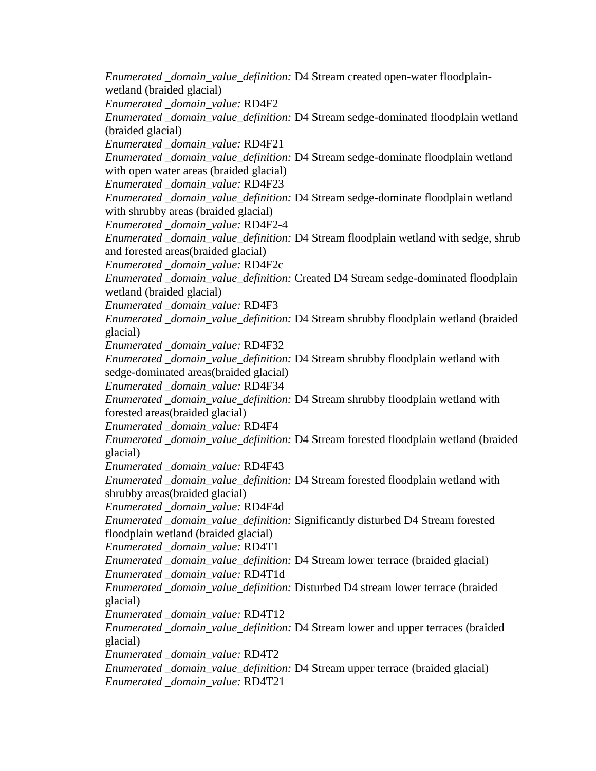*Enumerated \_domain\_value\_definition:* D4 Stream created open-water floodplainwetland (braided glacial) *Enumerated \_domain\_value:* RD4F2 *Enumerated \_domain\_value\_definition:* D4 Stream sedge-dominated floodplain wetland (braided glacial) *Enumerated \_domain\_value:* RD4F21 *Enumerated \_domain\_value\_definition:* D4 Stream sedge-dominate floodplain wetland with open water areas (braided glacial) *Enumerated \_domain\_value:* RD4F23 *Enumerated \_domain\_value\_definition:* D4 Stream sedge-dominate floodplain wetland with shrubby areas (braided glacial) *Enumerated \_domain\_value:* RD4F2-4 *Enumerated \_domain\_value\_definition:* D4 Stream floodplain wetland with sedge, shrub and forested areas(braided glacial) *Enumerated \_domain\_value:* RD4F2c *Enumerated \_domain\_value\_definition:* Created D4 Stream sedge-dominated floodplain wetland (braided glacial) *Enumerated \_domain\_value:* RD4F3 *Enumerated \_domain\_value\_definition:* D4 Stream shrubby floodplain wetland (braided glacial) *Enumerated \_domain\_value:* RD4F32 *Enumerated \_domain\_value\_definition:* D4 Stream shrubby floodplain wetland with sedge-dominated areas(braided glacial) *Enumerated \_domain\_value:* RD4F34 *Enumerated \_domain\_value\_definition:* D4 Stream shrubby floodplain wetland with forested areas(braided glacial) *Enumerated \_domain\_value:* RD4F4 *Enumerated \_domain\_value\_definition:* D4 Stream forested floodplain wetland (braided glacial) *Enumerated \_domain\_value:* RD4F43 *Enumerated \_domain\_value\_definition:* D4 Stream forested floodplain wetland with shrubby areas(braided glacial) *Enumerated \_domain\_value:* RD4F4d *Enumerated \_domain\_value\_definition:* Significantly disturbed D4 Stream forested floodplain wetland (braided glacial) *Enumerated \_domain\_value:* RD4T1 *Enumerated \_domain\_value\_definition:* D4 Stream lower terrace (braided glacial) *Enumerated \_domain\_value:* RD4T1d *Enumerated \_domain\_value\_definition:* Disturbed D4 stream lower terrace (braided glacial) *Enumerated \_domain\_value:* RD4T12 *Enumerated \_domain\_value\_definition:* D4 Stream lower and upper terraces (braided glacial) *Enumerated \_domain\_value:* RD4T2 *Enumerated \_domain\_value\_definition:* D4 Stream upper terrace (braided glacial) *Enumerated \_domain\_value:* RD4T21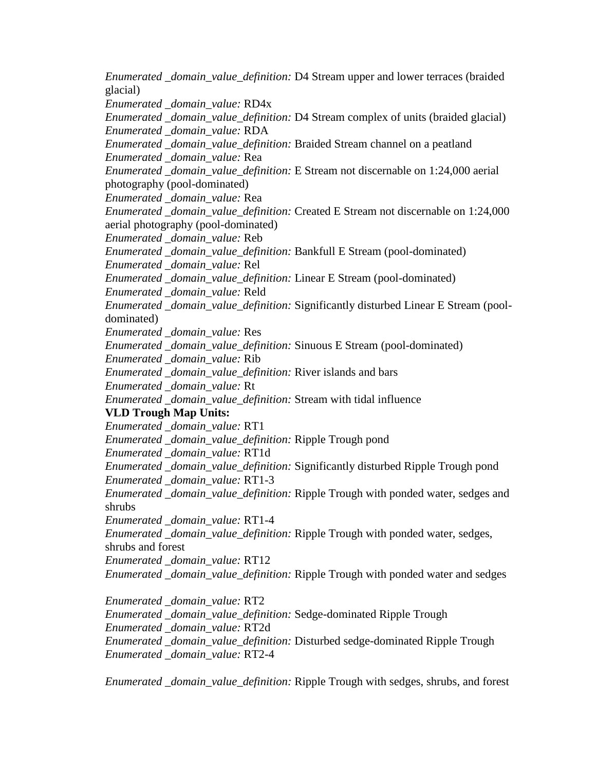*Enumerated \_domain\_value\_definition:* D4 Stream upper and lower terraces (braided glacial) *Enumerated \_domain\_value:* RD4x *Enumerated \_domain\_value\_definition:* D4 Stream complex of units (braided glacial) *Enumerated \_domain\_value:* RDA *Enumerated \_domain\_value\_definition:* Braided Stream channel on a peatland *Enumerated \_domain\_value:* Rea *Enumerated \_domain\_value\_definition:* E Stream not discernable on 1:24,000 aerial photography (pool-dominated) *Enumerated \_domain\_value:* Rea *Enumerated \_domain\_value\_definition:* Created E Stream not discernable on 1:24,000 aerial photography (pool-dominated) *Enumerated \_domain\_value:* Reb *Enumerated \_domain\_value\_definition:* Bankfull E Stream (pool-dominated) *Enumerated \_domain\_value:* Rel *Enumerated \_domain\_value\_definition:* Linear E Stream (pool-dominated) *Enumerated \_domain\_value:* Reld *Enumerated \_domain\_value\_definition:* Significantly disturbed Linear E Stream (pooldominated) *Enumerated \_domain\_value:* Res *Enumerated \_domain\_value\_definition:* Sinuous E Stream (pool-dominated) *Enumerated \_domain\_value:* Rib *Enumerated \_domain\_value\_definition:* River islands and bars *Enumerated \_domain\_value:* Rt *Enumerated \_domain\_value\_definition:* Stream with tidal influence **VLD Trough Map Units:** *Enumerated \_domain\_value:* RT1 *Enumerated \_domain\_value\_definition:* Ripple Trough pond *Enumerated \_domain\_value:* RT1d *Enumerated \_domain\_value\_definition:* Significantly disturbed Ripple Trough pond *Enumerated \_domain\_value:* RT1-3 *Enumerated \_domain\_value\_definition:* Ripple Trough with ponded water, sedges and shrubs *Enumerated \_domain\_value:* RT1-4 *Enumerated \_domain\_value\_definition:* Ripple Trough with ponded water, sedges, shrubs and forest *Enumerated \_domain\_value:* RT12 *Enumerated \_domain\_value\_definition:* Ripple Trough with ponded water and sedges *Enumerated \_domain\_value:* RT2 *Enumerated \_domain\_value\_definition:* Sedge-dominated Ripple Trough *Enumerated \_domain\_value:* RT2d *Enumerated \_domain\_value\_definition:* Disturbed sedge-dominated Ripple Trough *Enumerated \_domain\_value:* RT2-4 *Enumerated \_domain\_value\_definition:* Ripple Trough with sedges, shrubs, and forest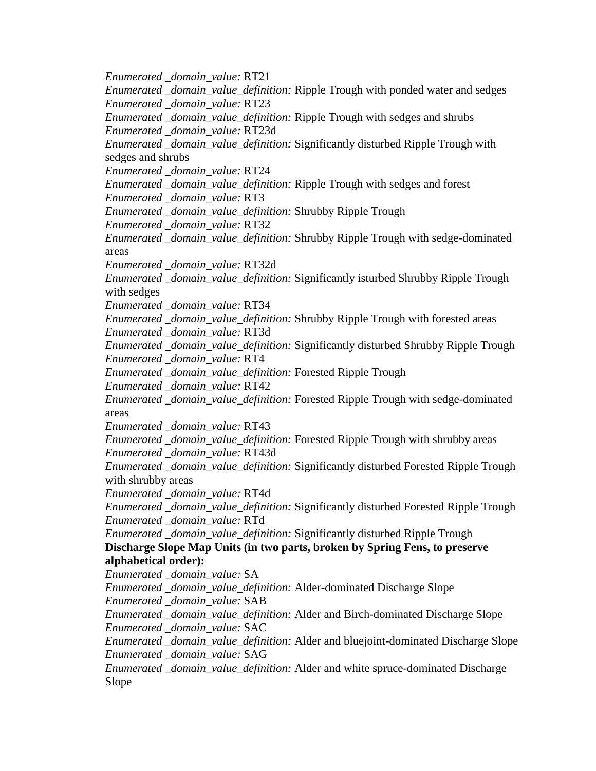*Enumerated \_domain\_value:* RT21 *Enumerated \_domain\_value\_definition:* Ripple Trough with ponded water and sedges *Enumerated \_domain\_value:* RT23 *Enumerated \_domain\_value\_definition:* Ripple Trough with sedges and shrubs *Enumerated \_domain\_value:* RT23d *Enumerated \_domain\_value\_definition:* Significantly disturbed Ripple Trough with sedges and shrubs *Enumerated \_domain\_value:* RT24 *Enumerated \_domain\_value\_definition:* Ripple Trough with sedges and forest *Enumerated \_domain\_value:* RT3 *Enumerated \_domain\_value\_definition:* Shrubby Ripple Trough *Enumerated \_domain\_value:* RT32 *Enumerated \_domain\_value\_definition:* Shrubby Ripple Trough with sedge-dominated areas *Enumerated \_domain\_value:* RT32d *Enumerated \_domain\_value\_definition:* Significantly isturbed Shrubby Ripple Trough with sedges *Enumerated \_domain\_value:* RT34 *Enumerated \_domain\_value\_definition:* Shrubby Ripple Trough with forested areas *Enumerated \_domain\_value:* RT3d *Enumerated \_domain\_value\_definition:* Significantly disturbed Shrubby Ripple Trough *Enumerated \_domain\_value:* RT4 *Enumerated \_domain\_value\_definition:* Forested Ripple Trough *Enumerated \_domain\_value:* RT42 *Enumerated \_domain\_value\_definition:* Forested Ripple Trough with sedge-dominated areas *Enumerated \_domain\_value:* RT43 *Enumerated \_domain\_value\_definition:* Forested Ripple Trough with shrubby areas *Enumerated \_domain\_value:* RT43d *Enumerated \_domain\_value\_definition:* Significantly disturbed Forested Ripple Trough with shrubby areas *Enumerated \_domain\_value:* RT4d *Enumerated \_domain\_value\_definition:* Significantly disturbed Forested Ripple Trough *Enumerated \_domain\_value:* RTd *Enumerated \_domain\_value\_definition:* Significantly disturbed Ripple Trough **Discharge Slope Map Units (in two parts, broken by Spring Fens, to preserve alphabetical order):** *Enumerated \_domain\_value:* SA *Enumerated \_domain\_value\_definition:* Alder-dominated Discharge Slope *Enumerated \_domain\_value:* SAB *Enumerated \_domain\_value\_definition:* Alder and Birch-dominated Discharge Slope *Enumerated \_domain\_value:* SAC *Enumerated \_domain\_value\_definition:* Alder and bluejoint-dominated Discharge Slope *Enumerated \_domain\_value:* SAG *Enumerated \_domain\_value\_definition:* Alder and white spruce-dominated Discharge Slope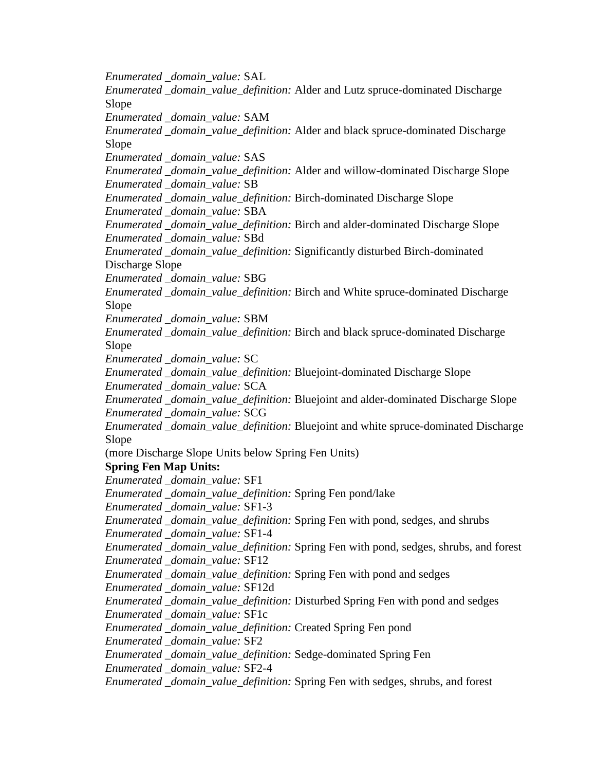*Enumerated \_domain\_value:* SAL *Enumerated \_domain\_value\_definition:* Alder and Lutz spruce-dominated Discharge Slope *Enumerated \_domain\_value:* SAM *Enumerated \_domain\_value\_definition:* Alder and black spruce-dominated Discharge Slope *Enumerated \_domain\_value:* SAS *Enumerated \_domain\_value\_definition:* Alder and willow-dominated Discharge Slope *Enumerated \_domain\_value:* SB *Enumerated \_domain\_value\_definition:* Birch-dominated Discharge Slope *Enumerated \_domain\_value:* SBA *Enumerated \_domain\_value\_definition:* Birch and alder-dominated Discharge Slope *Enumerated \_domain\_value:* SBd *Enumerated \_domain\_value\_definition:* Significantly disturbed Birch-dominated Discharge Slope *Enumerated \_domain\_value:* SBG *Enumerated \_domain\_value\_definition:* Birch and White spruce-dominated Discharge Slope *Enumerated \_domain\_value:* SBM *Enumerated \_domain\_value\_definition:* Birch and black spruce-dominated Discharge Slope *Enumerated \_domain\_value:* SC *Enumerated \_domain\_value\_definition:* Bluejoint-dominated Discharge Slope *Enumerated \_domain\_value:* SCA *Enumerated \_domain\_value\_definition:* Bluejoint and alder-dominated Discharge Slope *Enumerated \_domain\_value:* SCG *Enumerated \_domain\_value\_definition:* Bluejoint and white spruce-dominated Discharge Slope (more Discharge Slope Units below Spring Fen Units) **Spring Fen Map Units:** *Enumerated \_domain\_value:* SF1 *Enumerated \_domain\_value\_definition:* Spring Fen pond/lake *Enumerated \_domain\_value:* SF1-3 *Enumerated \_domain\_value\_definition:* Spring Fen with pond, sedges, and shrubs *Enumerated \_domain\_value:* SF1-4 *Enumerated \_domain\_value\_definition:* Spring Fen with pond, sedges, shrubs, and forest *Enumerated \_domain\_value:* SF12 *Enumerated \_domain\_value\_definition:* Spring Fen with pond and sedges *Enumerated \_domain\_value:* SF12d *Enumerated \_domain\_value\_definition:* Disturbed Spring Fen with pond and sedges *Enumerated \_domain\_value:* SF1c *Enumerated \_domain\_value\_definition:* Created Spring Fen pond *Enumerated \_domain\_value:* SF2 *Enumerated \_domain\_value\_definition:* Sedge-dominated Spring Fen *Enumerated \_domain\_value:* SF2-4 *Enumerated \_domain\_value\_definition:* Spring Fen with sedges, shrubs, and forest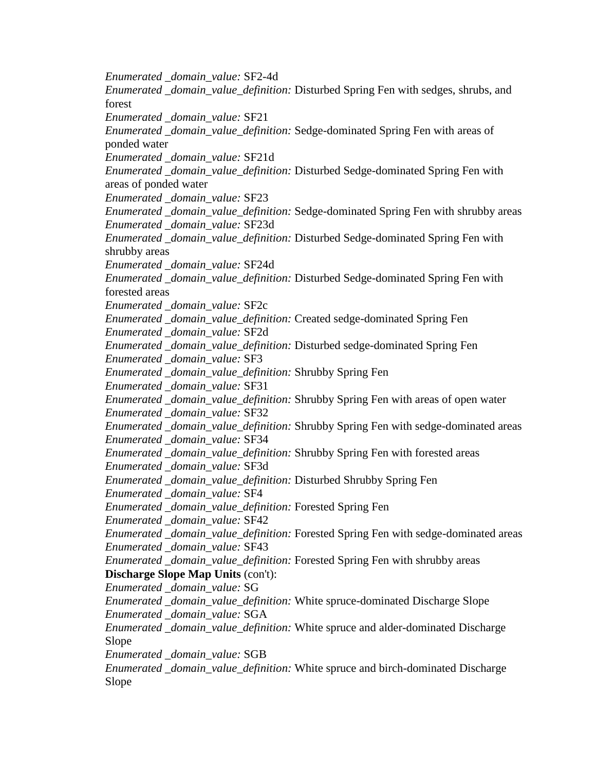*Enumerated \_domain\_value:* SF2-4d *Enumerated \_domain\_value\_definition:* Disturbed Spring Fen with sedges, shrubs, and forest *Enumerated \_domain\_value:* SF21 *Enumerated \_domain\_value\_definition:* Sedge-dominated Spring Fen with areas of ponded water *Enumerated \_domain\_value:* SF21d *Enumerated \_domain\_value\_definition:* Disturbed Sedge-dominated Spring Fen with areas of ponded water *Enumerated \_domain\_value:* SF23 *Enumerated \_domain\_value\_definition:* Sedge-dominated Spring Fen with shrubby areas *Enumerated \_domain\_value:* SF23d *Enumerated \_domain\_value\_definition:* Disturbed Sedge-dominated Spring Fen with shrubby areas *Enumerated \_domain\_value:* SF24d *Enumerated \_domain\_value\_definition:* Disturbed Sedge-dominated Spring Fen with forested areas *Enumerated \_domain\_value:* SF2c *Enumerated \_domain\_value\_definition:* Created sedge-dominated Spring Fen *Enumerated \_domain\_value:* SF2d *Enumerated \_domain\_value\_definition:* Disturbed sedge-dominated Spring Fen *Enumerated \_domain\_value:* SF3 *Enumerated \_domain\_value\_definition:* Shrubby Spring Fen *Enumerated \_domain\_value:* SF31 *Enumerated \_domain\_value\_definition:* Shrubby Spring Fen with areas of open water *Enumerated \_domain\_value:* SF32 *Enumerated \_domain\_value\_definition:* Shrubby Spring Fen with sedge-dominated areas *Enumerated \_domain\_value:* SF34 *Enumerated \_domain\_value\_definition:* Shrubby Spring Fen with forested areas *Enumerated \_domain\_value:* SF3d *Enumerated \_domain\_value\_definition:* Disturbed Shrubby Spring Fen *Enumerated \_domain\_value:* SF4 *Enumerated \_domain\_value\_definition:* Forested Spring Fen *Enumerated \_domain\_value:* SF42 *Enumerated \_domain\_value\_definition:* Forested Spring Fen with sedge-dominated areas *Enumerated \_domain\_value:* SF43 *Enumerated \_domain\_value\_definition:* Forested Spring Fen with shrubby areas **Discharge Slope Map Units** (con't): *Enumerated \_domain\_value:* SG *Enumerated \_domain\_value\_definition:* White spruce-dominated Discharge Slope *Enumerated \_domain\_value:* SGA *Enumerated \_domain\_value\_definition:* White spruce and alder-dominated Discharge Slope *Enumerated \_domain\_value:* SGB *Enumerated \_domain\_value\_definition:* White spruce and birch-dominated Discharge Slope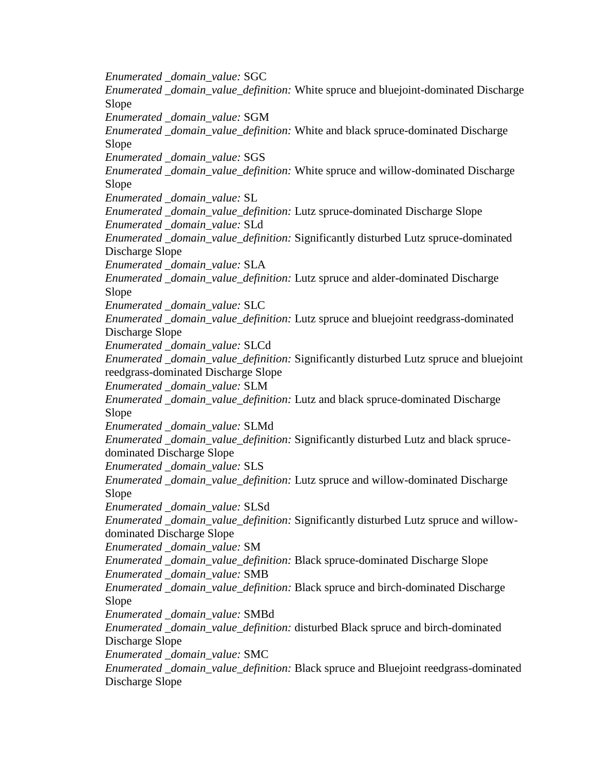*Enumerated \_domain\_value:* SGC *Enumerated \_domain\_value\_definition:* White spruce and bluejoint-dominated Discharge Slope *Enumerated \_domain\_value:* SGM *Enumerated \_domain\_value\_definition:* White and black spruce-dominated Discharge Slope *Enumerated \_domain\_value:* SGS *Enumerated \_domain\_value\_definition:* White spruce and willow-dominated Discharge Slope *Enumerated \_domain\_value:* SL *Enumerated \_domain\_value\_definition:* Lutz spruce-dominated Discharge Slope *Enumerated \_domain\_value:* SLd *Enumerated \_domain\_value\_definition:* Significantly disturbed Lutz spruce-dominated Discharge Slope *Enumerated \_domain\_value:* SLA *Enumerated \_domain\_value\_definition:* Lutz spruce and alder-dominated Discharge Slope *Enumerated \_domain\_value:* SLC *Enumerated \_domain\_value\_definition:* Lutz spruce and bluejoint reedgrass-dominated Discharge Slope *Enumerated \_domain\_value:* SLCd *Enumerated \_domain\_value\_definition:* Significantly disturbed Lutz spruce and bluejoint reedgrass-dominated Discharge Slope *Enumerated \_domain\_value:* SLM *Enumerated \_domain\_value\_definition:* Lutz and black spruce-dominated Discharge Slope *Enumerated \_domain\_value:* SLMd *Enumerated \_domain\_value\_definition:* Significantly disturbed Lutz and black sprucedominated Discharge Slope *Enumerated \_domain\_value:* SLS *Enumerated \_domain\_value\_definition:* Lutz spruce and willow-dominated Discharge Slope *Enumerated \_domain\_value:* SLSd *Enumerated \_domain\_value\_definition:* Significantly disturbed Lutz spruce and willowdominated Discharge Slope *Enumerated \_domain\_value:* SM *Enumerated \_domain\_value\_definition:* Black spruce-dominated Discharge Slope *Enumerated \_domain\_value:* SMB *Enumerated \_domain\_value\_definition:* Black spruce and birch-dominated Discharge Slope *Enumerated \_domain\_value:* SMBd *Enumerated \_domain\_value\_definition:* disturbed Black spruce and birch-dominated Discharge Slope *Enumerated \_domain\_value:* SMC *Enumerated \_domain\_value\_definition:* Black spruce and Bluejoint reedgrass-dominated Discharge Slope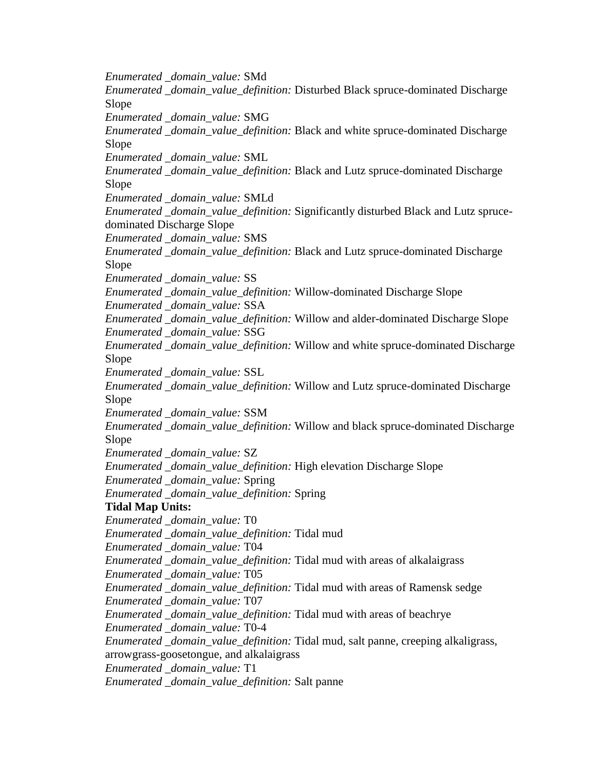*Enumerated \_domain\_value:* SMd *Enumerated \_domain\_value\_definition:* Disturbed Black spruce-dominated Discharge Slope *Enumerated \_domain\_value:* SMG *Enumerated \_domain\_value\_definition:* Black and white spruce-dominated Discharge Slope *Enumerated \_domain\_value:* SML *Enumerated \_domain\_value\_definition:* Black and Lutz spruce-dominated Discharge Slope *Enumerated \_domain\_value:* SMLd *Enumerated \_domain\_value\_definition:* Significantly disturbed Black and Lutz sprucedominated Discharge Slope *Enumerated \_domain\_value:* SMS *Enumerated \_domain\_value\_definition:* Black and Lutz spruce-dominated Discharge Slope *Enumerated \_domain\_value:* SS *Enumerated \_domain\_value\_definition:* Willow-dominated Discharge Slope *Enumerated \_domain\_value:* SSA *Enumerated \_domain\_value\_definition:* Willow and alder-dominated Discharge Slope *Enumerated \_domain\_value:* SSG *Enumerated \_domain\_value\_definition:* Willow and white spruce-dominated Discharge Slope *Enumerated \_domain\_value:* SSL *Enumerated \_domain\_value\_definition:* Willow and Lutz spruce-dominated Discharge Slope *Enumerated \_domain\_value:* SSM *Enumerated \_domain\_value\_definition:* Willow and black spruce-dominated Discharge Slope *Enumerated \_domain\_value:* SZ *Enumerated \_domain\_value\_definition:* High elevation Discharge Slope *Enumerated \_domain\_value:* Spring *Enumerated \_domain\_value\_definition:* Spring **Tidal Map Units:** *Enumerated \_domain\_value:* T0 *Enumerated \_domain\_value\_definition:* Tidal mud *Enumerated \_domain\_value:* T04 *Enumerated \_domain\_value\_definition:* Tidal mud with areas of alkalaigrass *Enumerated \_domain\_value:* T05 *Enumerated \_domain\_value\_definition:* Tidal mud with areas of Ramensk sedge *Enumerated \_domain\_value:* T07 *Enumerated \_domain\_value\_definition:* Tidal mud with areas of beachrye *Enumerated \_domain\_value:* T0-4 *Enumerated \_domain\_value\_definition:* Tidal mud, salt panne, creeping alkaligrass, arrowgrass-goosetongue, and alkalaigrass *Enumerated \_domain\_value:* T1 *Enumerated \_domain\_value\_definition:* Salt panne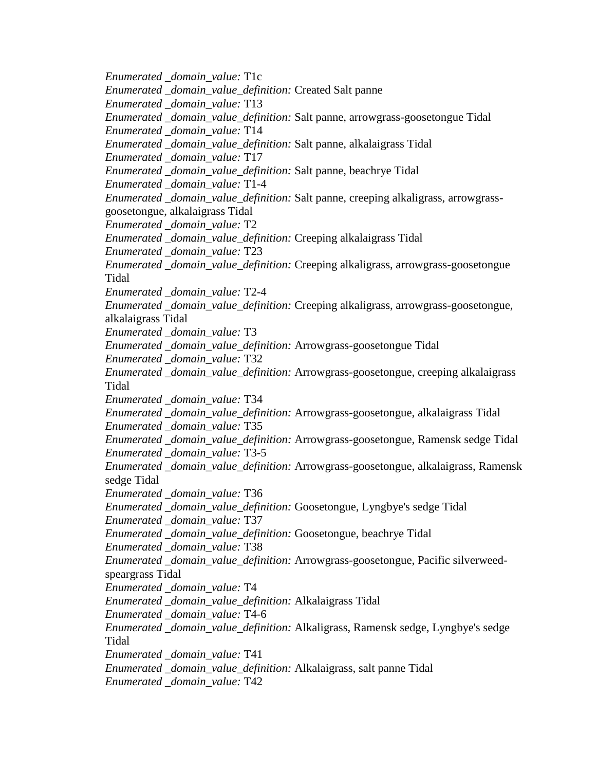*Enumerated \_domain\_value:* T1c *Enumerated \_domain\_value\_definition:* Created Salt panne *Enumerated \_domain\_value:* T13 *Enumerated \_domain\_value\_definition:* Salt panne, arrowgrass-goosetongue Tidal *Enumerated \_domain\_value:* T14 *Enumerated \_domain\_value\_definition:* Salt panne, alkalaigrass Tidal *Enumerated \_domain\_value:* T17 *Enumerated \_domain\_value\_definition:* Salt panne, beachrye Tidal *Enumerated \_domain\_value:* T1-4 *Enumerated \_domain\_value\_definition:* Salt panne, creeping alkaligrass, arrowgrassgoosetongue, alkalaigrass Tidal *Enumerated \_domain\_value:* T2 *Enumerated \_domain\_value\_definition:* Creeping alkalaigrass Tidal *Enumerated \_domain\_value:* T23 *Enumerated \_domain\_value\_definition:* Creeping alkaligrass, arrowgrass-goosetongue Tidal *Enumerated \_domain\_value:* T2-4 *Enumerated \_domain\_value\_definition:* Creeping alkaligrass, arrowgrass-goosetongue, alkalaigrass Tidal *Enumerated \_domain\_value:* T3 *Enumerated \_domain\_value\_definition:* Arrowgrass-goosetongue Tidal *Enumerated \_domain\_value:* T32 *Enumerated \_domain\_value\_definition:* Arrowgrass-goosetongue, creeping alkalaigrass Tidal *Enumerated \_domain\_value:* T34 *Enumerated \_domain\_value\_definition:* Arrowgrass-goosetongue, alkalaigrass Tidal *Enumerated \_domain\_value:* T35 *Enumerated \_domain\_value\_definition:* Arrowgrass-goosetongue, Ramensk sedge Tidal *Enumerated \_domain\_value:* T3-5 *Enumerated \_domain\_value\_definition:* Arrowgrass-goosetongue, alkalaigrass, Ramensk sedge Tidal *Enumerated \_domain\_value:* T36 *Enumerated \_domain\_value\_definition:* Goosetongue, Lyngbye's sedge Tidal *Enumerated \_domain\_value:* T37 *Enumerated \_domain\_value\_definition:* Goosetongue, beachrye Tidal *Enumerated \_domain\_value:* T38 *Enumerated \_domain\_value\_definition:* Arrowgrass-goosetongue, Pacific silverweedspeargrass Tidal *Enumerated \_domain\_value:* T4 *Enumerated \_domain\_value\_definition:* Alkalaigrass Tidal *Enumerated \_domain\_value:* T4-6 *Enumerated \_domain\_value\_definition:* Alkaligrass, Ramensk sedge, Lyngbye's sedge Tidal *Enumerated \_domain\_value:* T41 *Enumerated \_domain\_value\_definition:* Alkalaigrass, salt panne Tidal *Enumerated \_domain\_value:* T42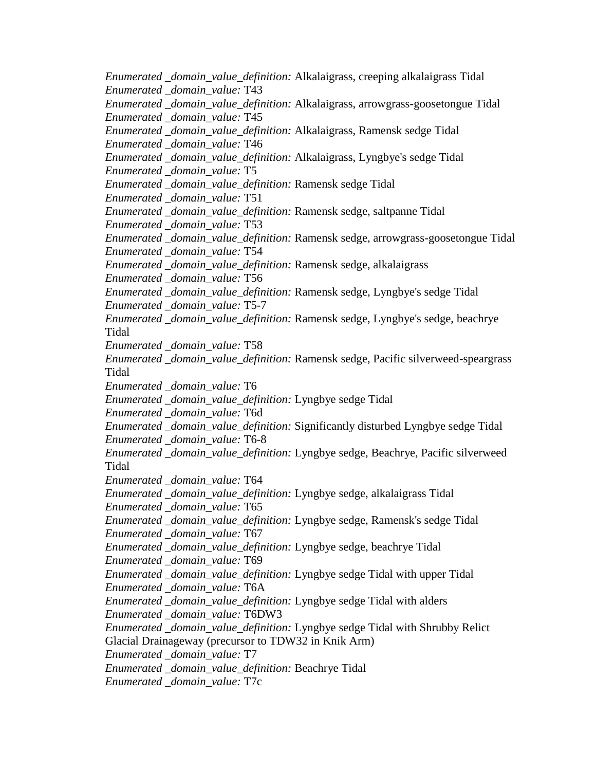*Enumerated \_domain\_value\_definition:* Alkalaigrass, creeping alkalaigrass Tidal *Enumerated \_domain\_value:* T43 *Enumerated \_domain\_value\_definition:* Alkalaigrass, arrowgrass-goosetongue Tidal *Enumerated \_domain\_value:* T45 *Enumerated \_domain\_value\_definition:* Alkalaigrass, Ramensk sedge Tidal *Enumerated \_domain\_value:* T46 *Enumerated \_domain\_value\_definition:* Alkalaigrass, Lyngbye's sedge Tidal *Enumerated \_domain\_value:* T5 *Enumerated \_domain\_value\_definition:* Ramensk sedge Tidal *Enumerated \_domain\_value:* T51 *Enumerated \_domain\_value\_definition:* Ramensk sedge, saltpanne Tidal *Enumerated \_domain\_value:* T53 *Enumerated \_domain\_value\_definition:* Ramensk sedge, arrowgrass-goosetongue Tidal *Enumerated \_domain\_value:* T54 *Enumerated \_domain\_value\_definition:* Ramensk sedge, alkalaigrass *Enumerated \_domain\_value:* T56 *Enumerated \_domain\_value\_definition:* Ramensk sedge, Lyngbye's sedge Tidal *Enumerated \_domain\_value:* T5-7 *Enumerated \_domain\_value\_definition:* Ramensk sedge, Lyngbye's sedge, beachrye Tidal *Enumerated \_domain\_value:* T58 *Enumerated \_domain\_value\_definition:* Ramensk sedge, Pacific silverweed-speargrass Tidal *Enumerated \_domain\_value:* T6 *Enumerated \_domain\_value\_definition:* Lyngbye sedge Tidal *Enumerated \_domain\_value:* T6d *Enumerated \_domain\_value\_definition:* Significantly disturbed Lyngbye sedge Tidal *Enumerated \_domain\_value:* T6-8 *Enumerated \_domain\_value\_definition:* Lyngbye sedge, Beachrye, Pacific silverweed Tidal *Enumerated \_domain\_value:* T64 *Enumerated \_domain\_value\_definition:* Lyngbye sedge, alkalaigrass Tidal *Enumerated \_domain\_value:* T65 *Enumerated \_domain\_value\_definition:* Lyngbye sedge, Ramensk's sedge Tidal *Enumerated \_domain\_value:* T67 *Enumerated \_domain\_value\_definition:* Lyngbye sedge, beachrye Tidal *Enumerated \_domain\_value:* T69 *Enumerated \_domain\_value\_definition:* Lyngbye sedge Tidal with upper Tidal *Enumerated \_domain\_value:* T6A *Enumerated \_domain\_value\_definition:* Lyngbye sedge Tidal with alders *Enumerated \_domain\_value:* T6DW3 *Enumerated \_domain\_value\_definition:* Lyngbye sedge Tidal with Shrubby Relict Glacial Drainageway (precursor to TDW32 in Knik Arm) *Enumerated \_domain\_value:* T7 *Enumerated \_domain\_value\_definition:* Beachrye Tidal *Enumerated \_domain\_value:* T7c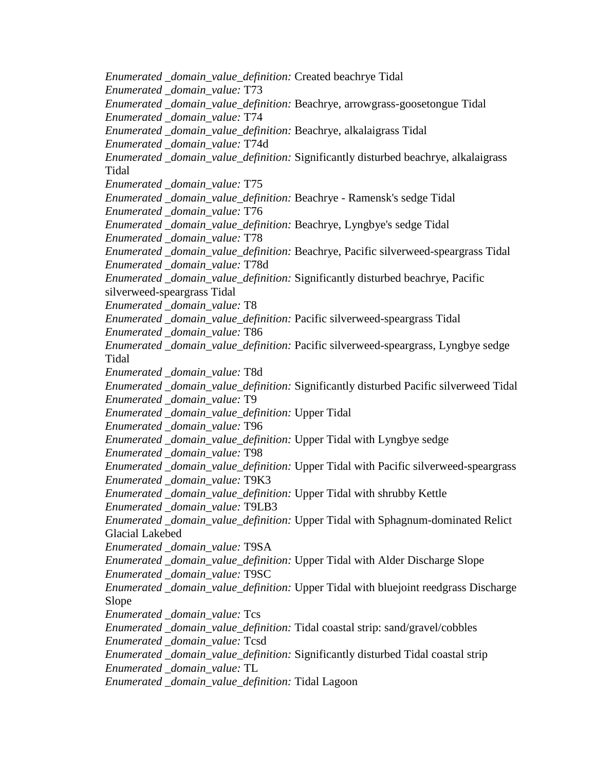*Enumerated \_domain\_value\_definition:* Created beachrye Tidal *Enumerated \_domain\_value:* T73 *Enumerated \_domain\_value\_definition:* Beachrye, arrowgrass-goosetongue Tidal *Enumerated \_domain\_value:* T74 *Enumerated \_domain\_value\_definition:* Beachrye, alkalaigrass Tidal *Enumerated \_domain\_value:* T74d *Enumerated \_domain\_value\_definition:* Significantly disturbed beachrye, alkalaigrass Tidal *Enumerated \_domain\_value:* T75 *Enumerated \_domain\_value\_definition:* Beachrye - Ramensk's sedge Tidal *Enumerated \_domain\_value:* T76 *Enumerated \_domain\_value\_definition:* Beachrye, Lyngbye's sedge Tidal *Enumerated \_domain\_value:* T78 *Enumerated \_domain\_value\_definition:* Beachrye, Pacific silverweed-speargrass Tidal *Enumerated \_domain\_value:* T78d *Enumerated \_domain\_value\_definition:* Significantly disturbed beachrye, Pacific silverweed-speargrass Tidal *Enumerated \_domain\_value:* T8 *Enumerated \_domain\_value\_definition:* Pacific silverweed-speargrass Tidal *Enumerated \_domain\_value:* T86 *Enumerated \_domain\_value\_definition:* Pacific silverweed-speargrass, Lyngbye sedge Tidal *Enumerated \_domain\_value:* T8d *Enumerated \_domain\_value\_definition:* Significantly disturbed Pacific silverweed Tidal *Enumerated \_domain\_value:* T9 *Enumerated \_domain\_value\_definition:* Upper Tidal *Enumerated \_domain\_value:* T96 *Enumerated \_domain\_value\_definition:* Upper Tidal with Lyngbye sedge *Enumerated \_domain\_value:* T98 *Enumerated \_domain\_value\_definition:* Upper Tidal with Pacific silverweed-speargrass *Enumerated \_domain\_value:* T9K3 *Enumerated \_domain\_value\_definition:* Upper Tidal with shrubby Kettle *Enumerated \_domain\_value:* T9LB3 *Enumerated \_domain\_value\_definition:* Upper Tidal with Sphagnum-dominated Relict Glacial Lakebed *Enumerated \_domain\_value:* T9SA *Enumerated \_domain\_value\_definition:* Upper Tidal with Alder Discharge Slope *Enumerated \_domain\_value:* T9SC *Enumerated \_domain\_value\_definition:* Upper Tidal with bluejoint reedgrass Discharge Slope *Enumerated \_domain\_value:* Tcs *Enumerated \_domain\_value\_definition:* Tidal coastal strip: sand/gravel/cobbles *Enumerated \_domain\_value:* Tcsd *Enumerated \_domain\_value\_definition:* Significantly disturbed Tidal coastal strip *Enumerated \_domain\_value:* TL *Enumerated \_domain\_value\_definition:* Tidal Lagoon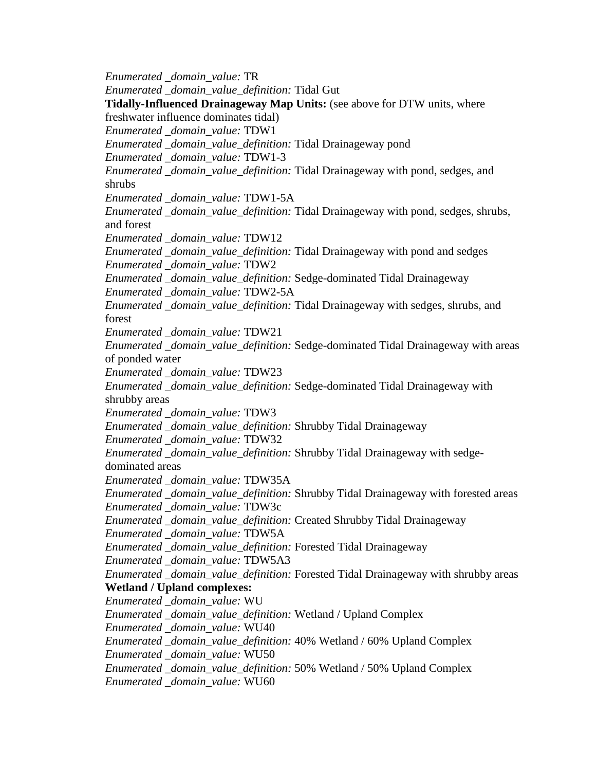*Enumerated \_domain\_value:* TR *Enumerated \_domain\_value\_definition:* Tidal Gut **Tidally-Influenced Drainageway Map Units:** (see above for DTW units, where freshwater influence dominates tidal) *Enumerated \_domain\_value:* TDW1 *Enumerated \_domain\_value\_definition:* Tidal Drainageway pond *Enumerated \_domain\_value:* TDW1-3 *Enumerated \_domain\_value\_definition:* Tidal Drainageway with pond, sedges, and shrubs *Enumerated \_domain\_value:* TDW1-5A *Enumerated \_domain\_value\_definition:* Tidal Drainageway with pond, sedges, shrubs, and forest *Enumerated \_domain\_value:* TDW12 *Enumerated \_domain\_value\_definition:* Tidal Drainageway with pond and sedges *Enumerated \_domain\_value:* TDW2 *Enumerated \_domain\_value\_definition:* Sedge-dominated Tidal Drainageway *Enumerated \_domain\_value:* TDW2-5A *Enumerated \_domain\_value\_definition:* Tidal Drainageway with sedges, shrubs, and forest *Enumerated \_domain\_value:* TDW21 *Enumerated \_domain\_value\_definition:* Sedge-dominated Tidal Drainageway with areas of ponded water *Enumerated \_domain\_value:* TDW23 *Enumerated \_domain\_value\_definition:* Sedge-dominated Tidal Drainageway with shrubby areas *Enumerated \_domain\_value:* TDW3 *Enumerated \_domain\_value\_definition:* Shrubby Tidal Drainageway *Enumerated \_domain\_value:* TDW32 *Enumerated \_domain\_value\_definition:* Shrubby Tidal Drainageway with sedgedominated areas *Enumerated \_domain\_value:* TDW35A *Enumerated \_domain\_value\_definition:* Shrubby Tidal Drainageway with forested areas *Enumerated \_domain\_value:* TDW3c *Enumerated \_domain\_value\_definition:* Created Shrubby Tidal Drainageway *Enumerated \_domain\_value:* TDW5A *Enumerated \_domain\_value\_definition:* Forested Tidal Drainageway *Enumerated \_domain\_value:* TDW5A3 *Enumerated \_domain\_value\_definition:* Forested Tidal Drainageway with shrubby areas **Wetland / Upland complexes:** *Enumerated \_domain\_value:* WU *Enumerated \_domain\_value\_definition:* Wetland / Upland Complex *Enumerated \_domain\_value:* WU40 *Enumerated \_domain\_value\_definition:* 40% Wetland / 60% Upland Complex *Enumerated \_domain\_value:* WU50 *Enumerated \_domain\_value\_definition:* 50% Wetland / 50% Upland Complex *Enumerated \_domain\_value:* WU60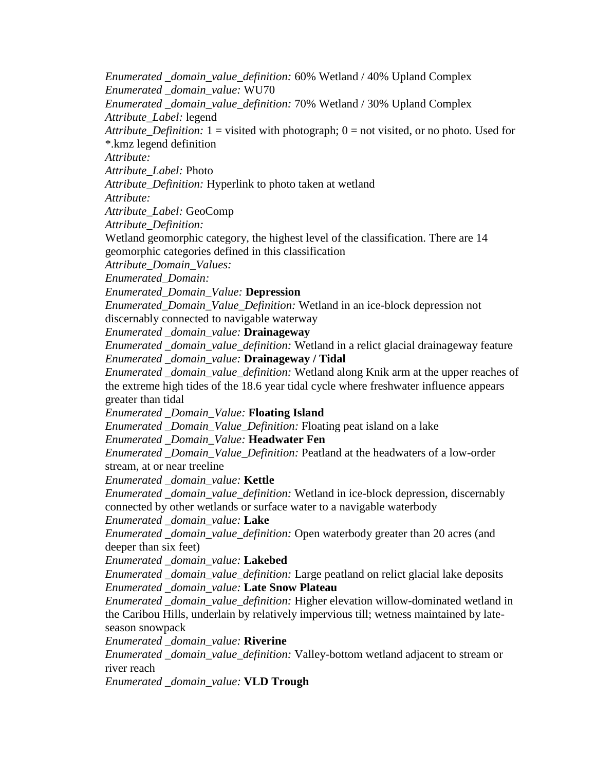*Enumerated \_domain\_value\_definition:* 60% Wetland / 40% Upland Complex *Enumerated \_domain\_value:* WU70 *Enumerated \_domain\_value\_definition:* 70% Wetland / 30% Upland Complex *Attribute\_Label:* legend *Attribute Definition:* 1 = visited with photograph;  $0 =$  not visited, or no photo. Used for \*.kmz legend definition *Attribute: Attribute\_Label:* Photo *Attribute\_Definition:* Hyperlink to photo taken at wetland *Attribute: Attribute\_Label:* GeoComp *Attribute\_Definition:* Wetland geomorphic category, the highest level of the classification. There are 14 geomorphic categories defined in this classification *Attribute\_Domain\_Values: Enumerated\_Domain: Enumerated\_Domain\_Value:* **Depression** *Enumerated\_Domain\_Value\_Definition:* Wetland in an ice-block depression not discernably connected to navigable waterway *Enumerated \_domain\_value:* **Drainageway** *Enumerated \_domain\_value\_definition:* Wetland in a relict glacial drainageway feature *Enumerated \_domain\_value:* **Drainageway / Tidal** *Enumerated \_domain\_value\_definition:* Wetland along Knik arm at the upper reaches of the extreme high tides of the 18.6 year tidal cycle where freshwater influence appears greater than tidal *Enumerated \_Domain\_Value:* **Floating Island** *Enumerated \_Domain\_Value\_Definition:* Floating peat island on a lake *Enumerated \_Domain\_Value:* **Headwater Fen** *Enumerated \_Domain\_Value\_Definition:* Peatland at the headwaters of a low-order stream, at or near treeline *Enumerated \_domain\_value:* **Kettle** *Enumerated \_domain\_value\_definition:* Wetland in ice-block depression, discernably connected by other wetlands or surface water to a navigable waterbody *Enumerated \_domain\_value:* **Lake** *Enumerated \_domain\_value\_definition:* Open waterbody greater than 20 acres (and deeper than six feet) *Enumerated \_domain\_value:* **Lakebed** *Enumerated \_domain\_value\_definition:* Large peatland on relict glacial lake deposits *Enumerated \_domain\_value:* **Late Snow Plateau** *Enumerated \_domain\_value\_definition:* Higher elevation willow-dominated wetland in the Caribou Hills, underlain by relatively impervious till; wetness maintained by lateseason snowpack *Enumerated \_domain\_value:* **Riverine** *Enumerated \_domain\_value\_definition:* Valley-bottom wetland adjacent to stream or river reach *Enumerated \_domain\_value:* **VLD Trough**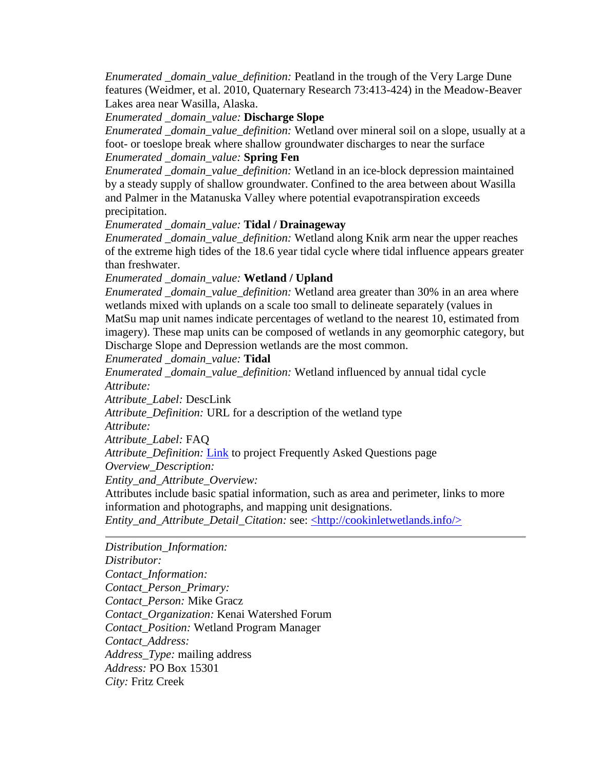*Enumerated \_domain\_value\_definition:* Peatland in the trough of the Very Large Dune features (Weidmer, et al. 2010, Quaternary Research 73:413-424) in the Meadow-Beaver Lakes area near Wasilla, Alaska.

*Enumerated \_domain\_value:* **Discharge Slope**

*Enumerated \_domain\_value\_definition:* Wetland over mineral soil on a slope, usually at a foot- or toeslope break where shallow groundwater discharges to near the surface *Enumerated \_domain\_value:* **Spring Fen**

*Enumerated \_domain\_value\_definition:* Wetland in an ice-block depression maintained by a steady supply of shallow groundwater. Confined to the area between about Wasilla and Palmer in the Matanuska Valley where potential evapotranspiration exceeds precipitation.

*Enumerated \_domain\_value:* **Tidal / Drainageway**

*Enumerated \_domain\_value\_definition:* Wetland along Knik arm near the upper reaches of the extreme high tides of the 18.6 year tidal cycle where tidal influence appears greater than freshwater.

*Enumerated \_domain\_value:* **Wetland / Upland**

*Enumerated \_domain\_value\_definition:* Wetland area greater than 30% in an area where wetlands mixed with uplands on a scale too small to delineate separately (values in MatSu map unit names indicate percentages of wetland to the nearest 10, estimated from imagery). These map units can be composed of wetlands in any geomorphic category, but Discharge Slope and Depression wetlands are the most common.

*Enumerated \_domain\_value:* **Tidal**

*Enumerated \_domain\_value\_definition:* Wetland influenced by annual tidal cycle *Attribute:*

*Attribute\_Label:* DescLink

*Attribute\_Definition:* URL for a description of the wetland type

*Attribute:*

*Attribute\_Label:* FAQ

*Attribute\_Definition:* [Link](http://cookinletwetlands.info/FAQ.htm) to project Frequently Asked Questions page

*Overview\_Description:*

*Entity\_and\_Attribute\_Overview:*

Attributes include basic spatial information, such as area and perimeter, links to more information and photographs, and mapping unit designations.

<span id="page-32-0"></span>*Entity\_and\_Attribute\_Detail\_Citation:* see: [<http://cookinletwetlands.info/>](http://cookinletwetlands.info/)

*Distribution\_Information: Distributor: Contact\_Information: Contact\_Person\_Primary: Contact\_Person:* Mike Gracz *Contact\_Organization:* Kenai Watershed Forum *Contact\_Position:* Wetland Program Manager *Contact\_Address: Address\_Type:* mailing address *Address:* PO Box 15301 *City:* Fritz Creek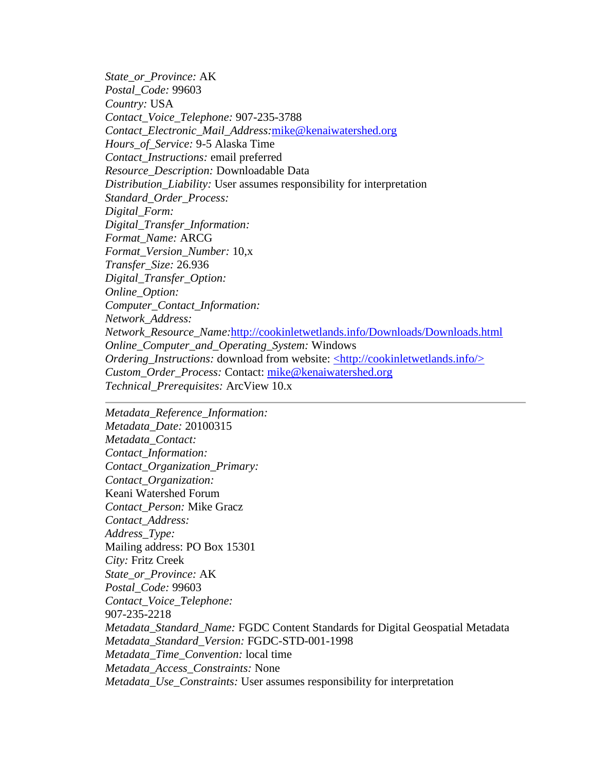*State\_or\_Province:* AK *Postal\_Code:* 99603 *Country:* USA *Contact\_Voice\_Telephone:* 907-235-3788 *Contact\_Electronic\_Mail\_Address:*[mike@kenaiwatershed.org](mailto:mike@kenaiwatershed.org) *Hours\_of\_Service:* 9-5 Alaska Time *Contact\_Instructions:* email preferred *Resource\_Description:* Downloadable Data *Distribution\_Liability:* User assumes responsibility for interpretation *Standard\_Order\_Process: Digital\_Form: Digital\_Transfer\_Information: Format\_Name:* ARCG *Format\_Version\_Number:* 10,x *Transfer\_Size:* 26.936 *Digital\_Transfer\_Option: Online\_Option: Computer\_Contact\_Information: Network\_Address: Network\_Resource\_Name:*[http://cookinletwetlands.info/Downloads/Downloads.html](http://cookinletwetlands.info/Downloads/downloads.html) *Online\_Computer\_and\_Operating\_System:* Windows *Ordering Instructions:* download from website: [<http://cookinletwetlands.info/>](http://cookinletwetlands.info/) *Custom\_Order\_Process:* Contact: [mike@kenaiwatershed.org](mailto:mike@kenaiwatershed.org) *Technical\_Prerequisites:* ArcView 10.x

<span id="page-33-0"></span>*Metadata\_Reference\_Information: Metadata\_Date:* 20100315 *Metadata\_Contact: Contact\_Information: Contact\_Organization\_Primary: Contact\_Organization:* Keani Watershed Forum *Contact\_Person:* Mike Gracz *Contact\_Address: Address\_Type:* Mailing address: PO Box 15301 *City:* Fritz Creek *State\_or\_Province:* AK *Postal\_Code:* 99603 *Contact\_Voice\_Telephone:* 907-235-2218 *Metadata\_Standard\_Name:* FGDC Content Standards for Digital Geospatial Metadata *Metadata\_Standard\_Version:* FGDC-STD-001-1998 *Metadata\_Time\_Convention:* local time *Metadata\_Access\_Constraints:* None *Metadata\_Use\_Constraints:* User assumes responsibility for interpretation